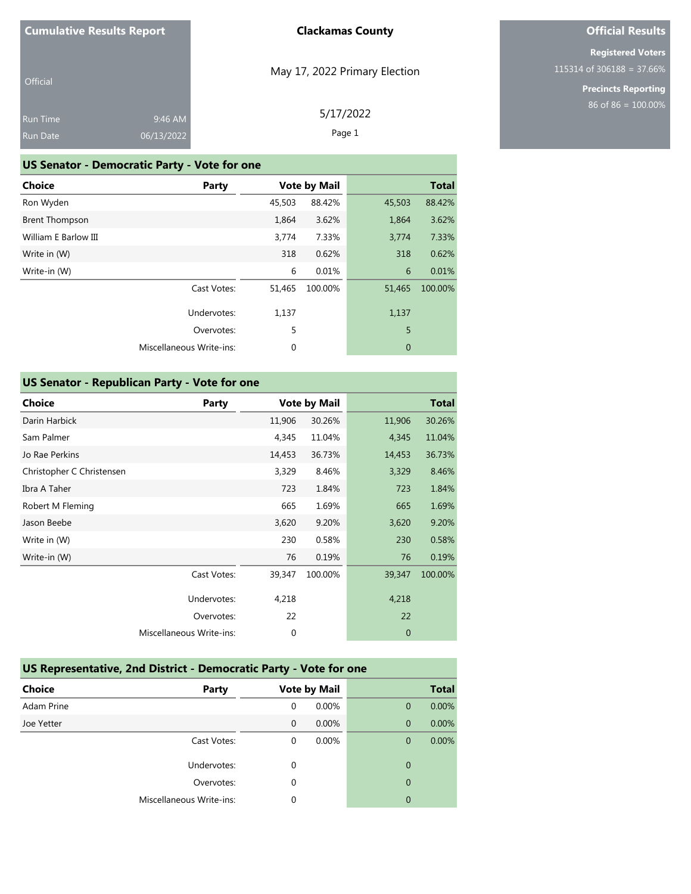# **Official Results**

**Registered Voters** 115314 of 306188 = 37.66%

> **Precincts Reporting** 86 of 86 = 100.00%

| Official        |            |
|-----------------|------------|
| <b>Run Time</b> | $9:46$ AM  |
| <b>Run Date</b> | 06/13/2022 |

### **US Senator - Democratic Party - Vote for one**

| <b>Choice</b>         | Party                           |        | <b>Vote by Mail</b> |                | <b>Total</b> |
|-----------------------|---------------------------------|--------|---------------------|----------------|--------------|
| Ron Wyden             |                                 | 45,503 | 88.42%              | 45,503         | 88.42%       |
| <b>Brent Thompson</b> |                                 | 1,864  | 3.62%               | 1,864          | 3.62%        |
| William E Barlow III  |                                 | 3,774  | 7.33%               | 3,774          | 7.33%        |
| Write in (W)          |                                 | 318    | 0.62%               | 318            | 0.62%        |
| Write-in (W)          |                                 | 6      | 0.01%               | 6              | 0.01%        |
|                       | Cast Votes:                     | 51,465 | 100.00%             | 51,465         | 100.00%      |
|                       | Undervotes:                     | 1,137  |                     | 1,137          |              |
|                       | Overvotes:                      | 5      |                     | 5              |              |
|                       | <b>Miscellaneous Write-ins:</b> | 0      |                     | $\overline{0}$ |              |

### **US Senator - Republican Party - Vote for one**

| <b>Choice</b>             | Party                    |        | <b>Vote by Mail</b> |              | <b>Total</b> |
|---------------------------|--------------------------|--------|---------------------|--------------|--------------|
| Darin Harbick             |                          | 11,906 | 30.26%              | 11,906       | 30.26%       |
| Sam Palmer                |                          | 4,345  | 11.04%              | 4,345        | 11.04%       |
| Jo Rae Perkins            |                          | 14,453 | 36.73%              | 14,453       | 36.73%       |
| Christopher C Christensen |                          | 3,329  | 8.46%               | 3,329        | 8.46%        |
| Ibra A Taher              |                          | 723    | 1.84%               | 723          | 1.84%        |
| Robert M Fleming          |                          | 665    | 1.69%               | 665          | 1.69%        |
| Jason Beebe               |                          | 3,620  | 9.20%               | 3,620        | 9.20%        |
| Write in (W)              |                          | 230    | 0.58%               | 230          | 0.58%        |
| Write-in (W)              |                          | 76     | 0.19%               | 76           | 0.19%        |
|                           | Cast Votes:              | 39,347 | 100.00%             | 39,347       | 100.00%      |
|                           | Undervotes:              | 4,218  |                     | 4,218        |              |
|                           | Overvotes:               | 22     |                     | 22           |              |
|                           | Miscellaneous Write-ins: | 0      |                     | $\mathbf{0}$ |              |
|                           |                          |        |                     |              |              |

### **US Representative, 2nd District - Democratic Party - Vote for one**

| <b>Choice</b> | Party                    |              | <b>Vote by Mail</b> |                | <b>Total</b> |
|---------------|--------------------------|--------------|---------------------|----------------|--------------|
| Adam Prine    |                          | 0            | 0.00%               | $\mathbf 0$    | 0.00%        |
| Joe Yetter    |                          | $\mathbf{0}$ | 0.00%               | $\mathbf{0}$   | 0.00%        |
|               | Cast Votes:              | $\Omega$     | 0.00%               | 0              | 0.00%        |
|               | Undervotes:              | $\Omega$     |                     | 0              |              |
|               | Overvotes:               | $\Omega$     |                     | $\overline{0}$ |              |
|               | Miscellaneous Write-ins: | $\Omega$     |                     | 0              |              |

### May 17, 2022 Primary Election

5/17/2022 Page 1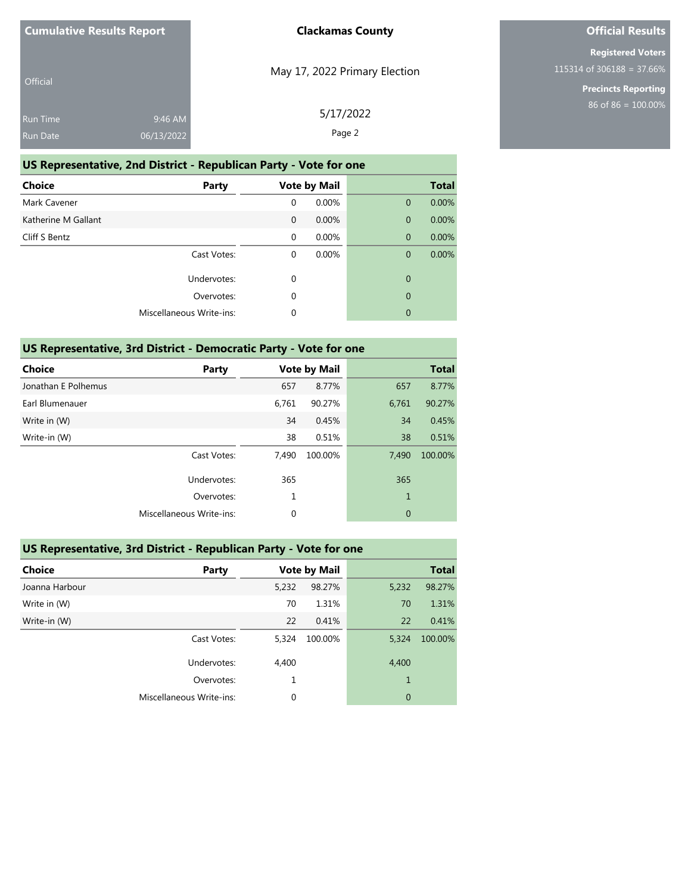| <b>Official</b> |            |  |
|-----------------|------------|--|
| <b>Run Time</b> | 9:46 AM    |  |
| <b>Run Date</b> | 06/13/2022 |  |

May 17, 2022 Primary Election

# **Official Results**

**Registered Voters** 115314 of 306188 = 37.66%

> **Precincts Reporting** 86 of 86 = 100.00%

| $5$ AM $\,$ | 5/17/2022 |
|-------------|-----------|
| 2022        | Page 2    |
|             |           |

### **US Representative, 2nd District - Republican Party - Vote for one**

| <b>Choice</b>       | Party                    |              | <b>Vote by Mail</b> |              | <b>Total</b> |
|---------------------|--------------------------|--------------|---------------------|--------------|--------------|
| Mark Cavener        |                          | $\mathbf 0$  | 0.00%               | $\mathbf{0}$ | 0.00%        |
| Katherine M Gallant |                          | $\mathbf{0}$ | 0.00%               | $\mathbf{0}$ | 0.00%        |
| Cliff S Bentz       |                          | $\mathbf 0$  | 0.00%               | $\mathbf{0}$ | 0.00%        |
|                     | Cast Votes:              | 0            | 0.00%               | $\mathbf{0}$ | 0.00%        |
|                     | Undervotes:              | 0            |                     | $\mathbf{0}$ |              |
|                     | Overvotes:               | 0            |                     | $\mathbf{0}$ |              |
|                     | Miscellaneous Write-ins: | 0            |                     | $\mathbf{0}$ |              |

### **US Representative, 3rd District - Democratic Party - Vote for one**

| <b>Choice</b>       | Party                    |             | <b>Vote by Mail</b> |                | <b>Total</b> |
|---------------------|--------------------------|-------------|---------------------|----------------|--------------|
| Jonathan E Polhemus |                          | 657         | 8.77%               | 657            | 8.77%        |
| Earl Blumenauer     |                          | 6,761       | 90.27%              | 6,761          | 90.27%       |
| Write in (W)        |                          | 34          | 0.45%               | 34             | 0.45%        |
| Write-in (W)        |                          | 38          | 0.51%               | 38             | 0.51%        |
|                     | Cast Votes:              | 7,490       | 100.00%             | 7,490          | 100.00%      |
|                     | Undervotes:              | 365         |                     | 365            |              |
|                     | Overvotes:               | 1           |                     | $\mathbf{1}$   |              |
|                     | Miscellaneous Write-ins: | $\mathbf 0$ |                     | $\overline{0}$ |              |
|                     |                          |             |                     |                |              |

### **US Representative, 3rd District - Republican Party - Vote for one**

| <b>Choice</b>  | Party                    |       | <b>Vote by Mail</b> |                | <b>Total</b> |
|----------------|--------------------------|-------|---------------------|----------------|--------------|
| Joanna Harbour |                          | 5,232 | 98.27%              | 5,232          | 98.27%       |
| Write in (W)   |                          | 70    | 1.31%               | 70             | 1.31%        |
| Write-in (W)   |                          | 22    | 0.41%               | 22             | 0.41%        |
|                | Cast Votes:              | 5,324 | 100.00%             | 5,324          | 100.00%      |
|                | Undervotes:              | 4,400 |                     | 4,400          |              |
|                | Overvotes:               | 1     |                     | $\mathbf{1}$   |              |
|                | Miscellaneous Write-ins: | 0     |                     | $\overline{0}$ |              |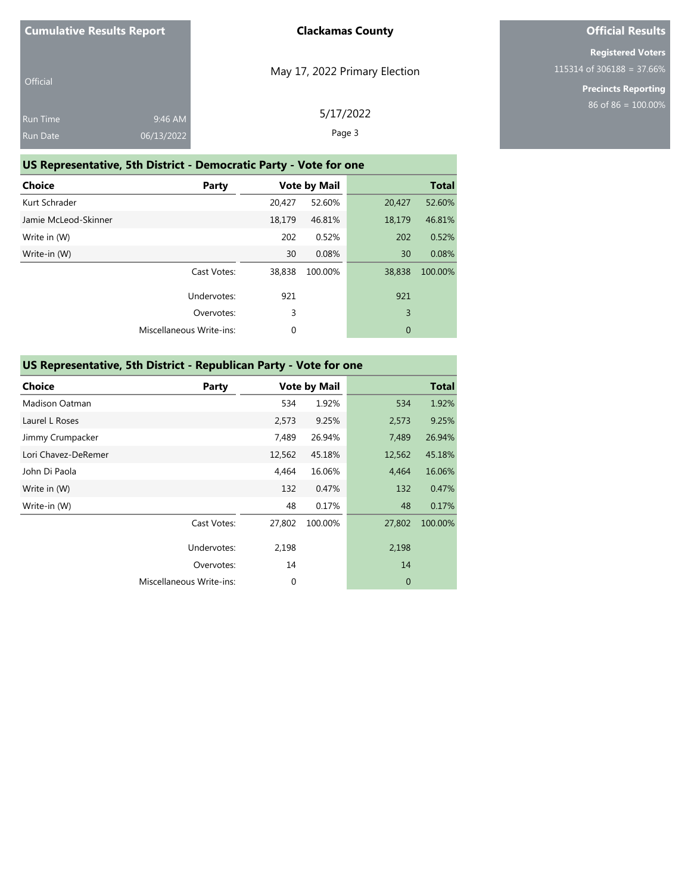| Official        |            |  |
|-----------------|------------|--|
| <b>Run Time</b> | 9:46 AM    |  |
| <b>Run Date</b> | 06/13/2022 |  |

May 17, 2022 Primary Election

# **Official Results**

**Registered Voters** 115314 of 306188 = 37.66%

> **Precincts Reporting** 86 of 86 = 100.00%

| $5$ AM $\,$ | 5/17/2022 |
|-------------|-----------|
| 2022        | Page 3    |
|             |           |

### **US Representative, 5th District - Democratic Party - Vote for one**

| <b>Choice</b>        | Party                           |        | <b>Vote by Mail</b> |        | <b>Total</b> |
|----------------------|---------------------------------|--------|---------------------|--------|--------------|
| Kurt Schrader        |                                 | 20,427 | 52.60%              | 20,427 | 52.60%       |
| Jamie McLeod-Skinner |                                 | 18,179 | 46.81%              | 18,179 | 46.81%       |
| Write in (W)         |                                 | 202    | 0.52%               | 202    | 0.52%        |
| Write-in (W)         |                                 | 30     | 0.08%               | 30     | 0.08%        |
|                      | Cast Votes:                     | 38,838 | 100.00%             | 38,838 | 100.00%      |
|                      | Undervotes:                     | 921    |                     | 921    |              |
|                      | Overvotes:                      | 3      |                     | 3      |              |
|                      | <b>Miscellaneous Write-ins:</b> | 0      |                     | 0      |              |

### **US Representative, 5th District - Republican Party - Vote for one**

| Party                    |        |         |                     | <b>Total</b> |
|--------------------------|--------|---------|---------------------|--------------|
|                          | 534    | 1.92%   | 534                 | 1.92%        |
|                          | 2,573  | 9.25%   | 2,573               | 9.25%        |
|                          | 7,489  | 26.94%  | 7,489               | 26.94%       |
|                          | 12,562 | 45.18%  | 12,562              | 45.18%       |
|                          | 4,464  | 16.06%  | 4,464               | 16.06%       |
|                          | 132    | 0.47%   | 132                 | 0.47%        |
|                          | 48     | 0.17%   | 48                  | 0.17%        |
| Cast Votes:              | 27,802 | 100.00% | 27,802              | 100.00%      |
| Undervotes:              | 2,198  |         | 2,198               |              |
| Overvotes:               | 14     |         | 14                  |              |
| Miscellaneous Write-ins: | 0      |         | $\mathbf{0}$        |              |
|                          |        |         | <b>Vote by Mail</b> |              |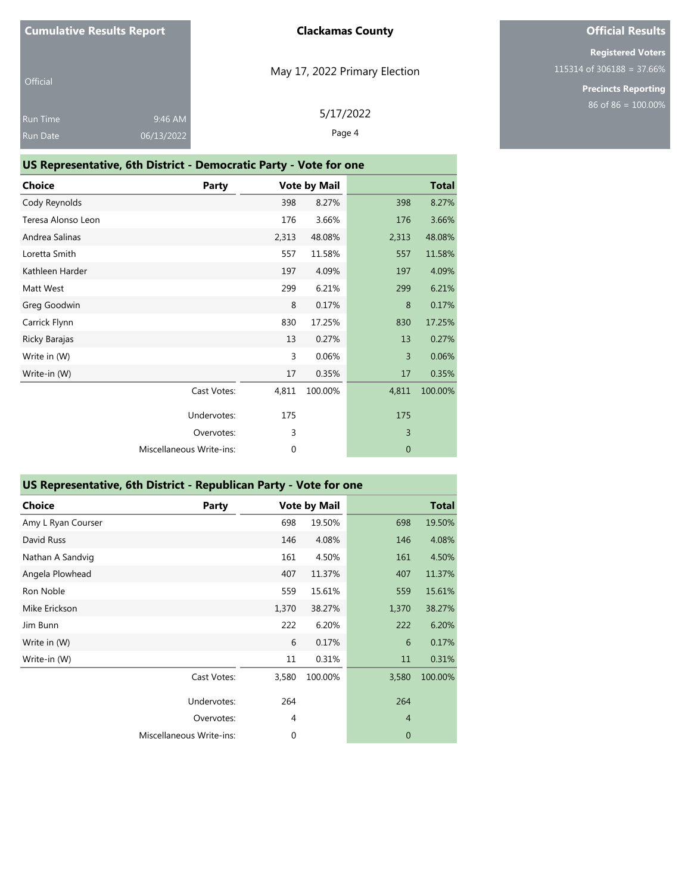| Official        |            |  |
|-----------------|------------|--|
| <b>Run Time</b> | 9:46 AM    |  |
| <b>Run Date</b> | 06/13/2022 |  |

# May 17, 2022 Primary Election

5/17/2022 Page 4

# **Official Results**

**Registered Voters** 115314 of 306188 = 37.66%

> **Precincts Reporting** 86 of 86 = 100.00%

| US Representative, 6th District - Democratic Party - Vote for one |                          |             |                     |              |              |  |
|-------------------------------------------------------------------|--------------------------|-------------|---------------------|--------------|--------------|--|
| <b>Choice</b>                                                     | <b>Party</b>             |             | <b>Vote by Mail</b> |              | <b>Total</b> |  |
| Cody Reynolds                                                     |                          | 398         | 8.27%               | 398          | 8.27%        |  |
| Teresa Alonso Leon                                                |                          | 176         | 3.66%               | 176          | 3.66%        |  |
| Andrea Salinas                                                    |                          | 2,313       | 48.08%              | 2,313        | 48.08%       |  |
| Loretta Smith                                                     |                          | 557         | 11.58%              | 557          | 11.58%       |  |
| Kathleen Harder                                                   |                          | 197         | 4.09%               | 197          | 4.09%        |  |
| Matt West                                                         |                          | 299         | 6.21%               | 299          | 6.21%        |  |
| Greg Goodwin                                                      |                          | 8           | 0.17%               | 8            | 0.17%        |  |
| Carrick Flynn                                                     |                          | 830         | 17.25%              | 830          | 17.25%       |  |
| Ricky Barajas                                                     |                          | 13          | 0.27%               | 13           | 0.27%        |  |
| Write in (W)                                                      |                          | 3           | 0.06%               | 3            | 0.06%        |  |
| Write-in (W)                                                      |                          | 17          | 0.35%               | 17           | 0.35%        |  |
|                                                                   | Cast Votes:              | 4,811       | 100.00%             | 4,811        | 100.00%      |  |
|                                                                   | Undervotes:              | 175         |                     | 175          |              |  |
|                                                                   | Overvotes:               | 3           |                     | 3            |              |  |
|                                                                   | Miscellaneous Write-ins: | $\mathbf 0$ |                     | $\mathbf{0}$ |              |  |
|                                                                   |                          |             |                     |              |              |  |

### **US Representative, 6th District - Republican Party - Vote for one**

| <b>Choice</b>      | Party                    |             | <b>Vote by Mail</b> |                | <b>Total</b> |
|--------------------|--------------------------|-------------|---------------------|----------------|--------------|
| Amy L Ryan Courser |                          | 698         | 19.50%              | 698            | 19.50%       |
| David Russ         |                          | 146         | 4.08%               | 146            | 4.08%        |
| Nathan A Sandvig   |                          | 161         | 4.50%               | 161            | 4.50%        |
| Angela Plowhead    |                          | 407         | 11.37%              | 407            | 11.37%       |
| Ron Noble          |                          | 559         | 15.61%              | 559            | 15.61%       |
| Mike Erickson      |                          | 1,370       | 38.27%              | 1,370          | 38.27%       |
| Jim Bunn           |                          | 222         | 6.20%               | 222            | 6.20%        |
| Write in (W)       |                          | 6           | 0.17%               | 6              | 0.17%        |
| Write-in (W)       |                          | 11          | 0.31%               | 11             | 0.31%        |
|                    | Cast Votes:              | 3,580       | 100.00%             | 3,580          | 100.00%      |
|                    | Undervotes:              | 264         |                     | 264            |              |
|                    | Overvotes:               | 4           |                     | $\overline{4}$ |              |
|                    | Miscellaneous Write-ins: | $\mathbf 0$ |                     | $\mathbf 0$    |              |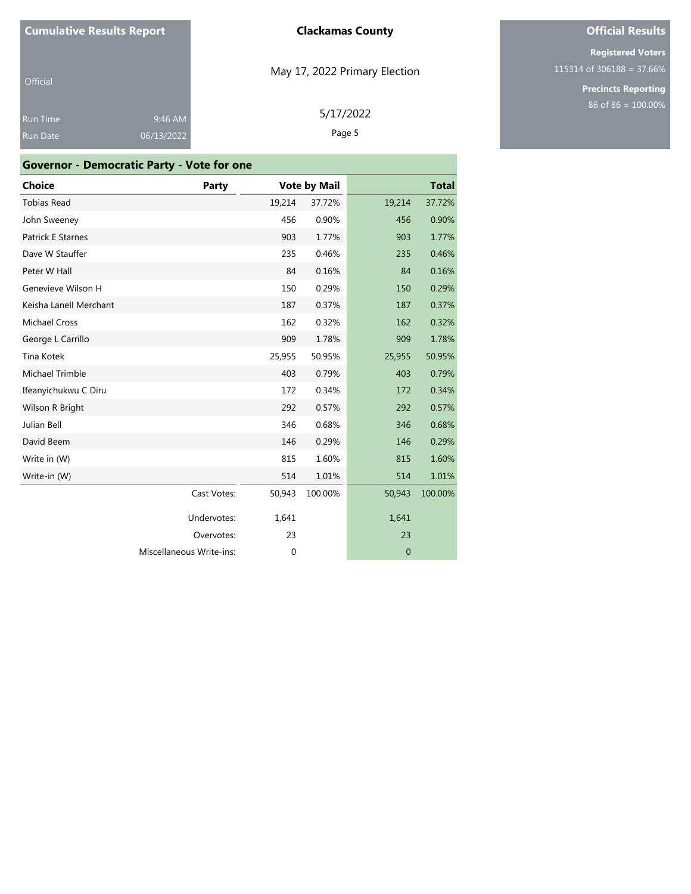Official

9:46 AM

# May 17, 2022 Primary Election

5/17/2022

Page 5

06/13/2022

| <b>Choice</b>          | Party                    |             | <b>Vote by Mail</b> |              | <b>Total</b> |
|------------------------|--------------------------|-------------|---------------------|--------------|--------------|
| <b>Tobias Read</b>     |                          | 19,214      | 37.72%              | 19,214       | 37.72%       |
| John Sweeney           |                          | 456         | 0.90%               | 456          | 0.90%        |
| Patrick E Starnes      |                          | 903         | 1.77%               | 903          | 1.77%        |
| Dave W Stauffer        |                          | 235         | 0.46%               | 235          | 0.46%        |
| Peter W Hall           |                          | 84          | 0.16%               | 84           | 0.16%        |
| Genevieve Wilson H     |                          | 150         | 0.29%               | 150          | 0.29%        |
| Keisha Lanell Merchant |                          | 187         | 0.37%               | 187          | 0.37%        |
| <b>Michael Cross</b>   |                          | 162         | 0.32%               | 162          | 0.32%        |
| George L Carrillo      |                          | 909         | 1.78%               | 909          | 1.78%        |
| Tina Kotek             |                          | 25,955      | 50.95%              | 25,955       | 50.95%       |
| Michael Trimble        |                          | 403         | 0.79%               | 403          | 0.79%        |
| Ifeanyichukwu C Diru   |                          | 172         | 0.34%               | 172          | 0.34%        |
| Wilson R Bright        |                          | 292         | 0.57%               | 292          | 0.57%        |
| Julian Bell            |                          | 346         | 0.68%               | 346          | 0.68%        |
| David Beem             |                          | 146         | 0.29%               | 146          | 0.29%        |
| Write in (W)           |                          | 815         | 1.60%               | 815          | 1.60%        |
| Write-in (W)           |                          | 514         | 1.01%               | 514          | 1.01%        |
|                        | Cast Votes:              | 50,943      | 100.00%             | 50,943       | 100.00%      |
|                        | Undervotes:              | 1,641       |                     | 1,641        |              |
|                        | Overvotes:               | 23          |                     | 23           |              |
|                        | Miscellaneous Write-ins: | $\mathbf 0$ |                     | $\mathbf{0}$ |              |

# **Official Results**

**Registered Voters** 115314 of 306188 = 37.66%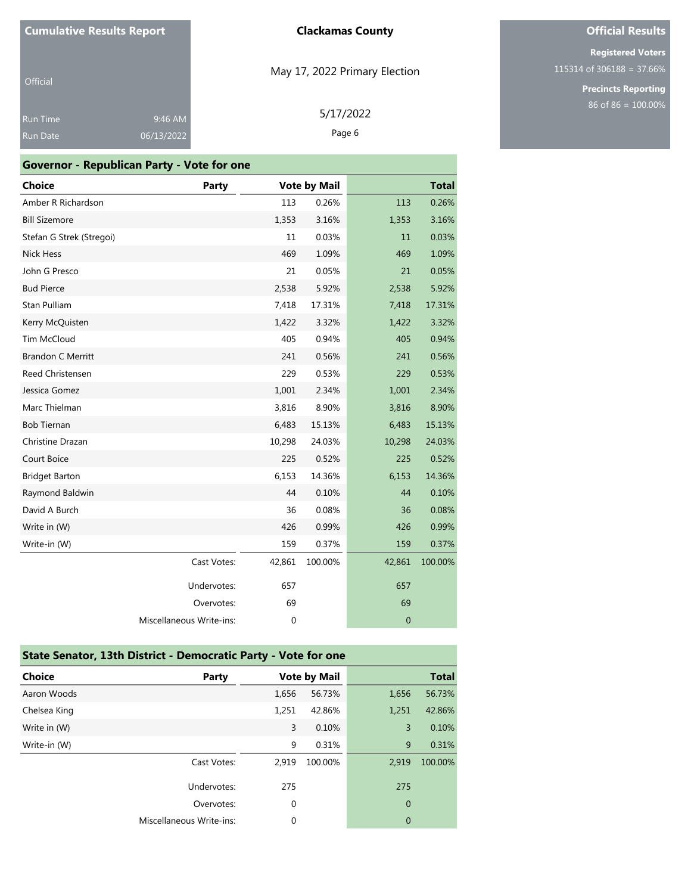# **Official Results**

**Registered Voters** 115314 of 306188 = 37.66%

> **Precincts Reporting** 86 of 86 = 100.00%

| Official        |            |
|-----------------|------------|
| <b>Run Time</b> | 9:46 AM    |
| <b>Run Date</b> | 06/13/2022 |

### **Governor - Republican Party - Vote for one**

| <b>Choice</b>            | Party                    |             | <b>Vote by Mail</b> |              | <b>Total</b> |
|--------------------------|--------------------------|-------------|---------------------|--------------|--------------|
| Amber R Richardson       |                          | 113         | 0.26%               | 113          | 0.26%        |
| <b>Bill Sizemore</b>     |                          | 1,353       | 3.16%               | 1,353        | 3.16%        |
| Stefan G Strek (Stregoi) |                          | 11          | 0.03%               | 11           | 0.03%        |
| Nick Hess                |                          | 469         | 1.09%               | 469          | 1.09%        |
| John G Presco            |                          | 21          | 0.05%               | 21           | 0.05%        |
| <b>Bud Pierce</b>        |                          | 2,538       | 5.92%               | 2,538        | 5.92%        |
| Stan Pulliam             |                          | 7,418       | 17.31%              | 7,418        | 17.31%       |
| Kerry McQuisten          |                          | 1,422       | 3.32%               | 1,422        | 3.32%        |
| Tim McCloud              |                          | 405         | 0.94%               | 405          | 0.94%        |
| <b>Brandon C Merritt</b> |                          | 241         | 0.56%               | 241          | 0.56%        |
| Reed Christensen         |                          | 229         | 0.53%               | 229          | 0.53%        |
| Jessica Gomez            |                          | 1,001       | 2.34%               | 1,001        | 2.34%        |
| Marc Thielman            |                          | 3,816       | 8.90%               | 3,816        | 8.90%        |
| <b>Bob Tiernan</b>       |                          | 6,483       | 15.13%              | 6,483        | 15.13%       |
| Christine Drazan         |                          | 10,298      | 24.03%              | 10,298       | 24.03%       |
| Court Boice              |                          | 225         | 0.52%               | 225          | 0.52%        |
| <b>Bridget Barton</b>    |                          | 6,153       | 14.36%              | 6,153        | 14.36%       |
| Raymond Baldwin          |                          | 44          | 0.10%               | 44           | 0.10%        |
| David A Burch            |                          | 36          | 0.08%               | 36           | 0.08%        |
| Write in (W)             |                          | 426         | 0.99%               | 426          | 0.99%        |
| Write-in (W)             |                          | 159         | 0.37%               | 159          | 0.37%        |
|                          | Cast Votes:              | 42,861      | 100.00%             | 42,861       | 100.00%      |
|                          | Undervotes:              | 657         |                     | 657          |              |
|                          | Overvotes:               | 69          |                     | 69           |              |
|                          | Miscellaneous Write-ins: | $\mathbf 0$ |                     | $\mathbf{0}$ |              |

| State Senator, 13th District - Democratic Party - Vote for one |                          |             |                     |                |              |
|----------------------------------------------------------------|--------------------------|-------------|---------------------|----------------|--------------|
| Choice                                                         | Party                    |             | <b>Vote by Mail</b> |                | <b>Total</b> |
| Aaron Woods                                                    |                          | 1.656       | 56.73%              | 1,656          | 56.73%       |
| Chelsea King                                                   |                          | 1,251       | 42.86%              | 1,251          | 42.86%       |
| Write in (W)                                                   |                          | 3           | 0.10%               | $\overline{3}$ | 0.10%        |
| Write-in (W)                                                   |                          | 9           | 0.31%               | 9              | 0.31%        |
|                                                                | Cast Votes:              | 2.919       | 100.00%             | 2.919          | 100.00%      |
|                                                                | Undervotes:              | 275         |                     | 275            |              |
|                                                                | Overvotes:               | $\mathbf 0$ |                     | $\mathbf{0}$   |              |
|                                                                | Miscellaneous Write-ins: | 0           |                     | 0              |              |

### May 17, 2022 Primary Election

5/17/2022 Page 6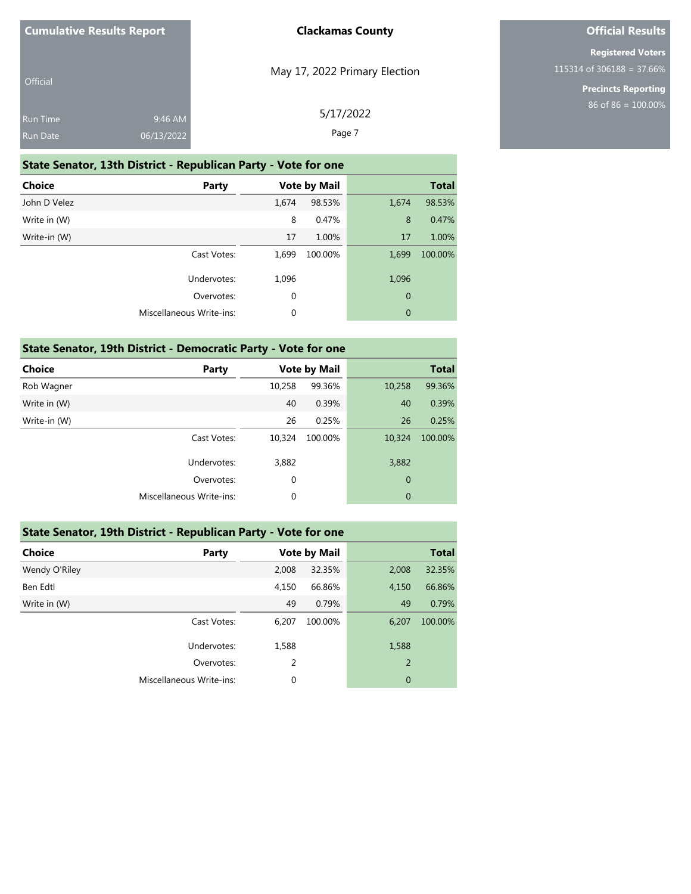| <b>Cumulative Results Report</b> |  |
|----------------------------------|--|
|----------------------------------|--|

| <b>Official</b> |            |  |
|-----------------|------------|--|
| <b>Run Time</b> | 9:46 AM    |  |
| <b>Run Date</b> | 06/13/2022 |  |

May 17, 2022 Primary Election

5/17/2022

# **Official Results**

**Registered Voters** 115314 of 306188 = 37.66%

> **Precincts Reporting** 86 of 86 = 100.00%

| <b>Run Date</b>                                                | 06/13/2022  | Page 7 |                     |             |              |  |  |
|----------------------------------------------------------------|-------------|--------|---------------------|-------------|--------------|--|--|
| State Senator, 13th District - Republican Party - Vote for one |             |        |                     |             |              |  |  |
| Choice                                                         | Party       |        | <b>Vote by Mail</b> |             | <b>Total</b> |  |  |
| John D Velez                                                   |             | 1,674  | 98.53%              | 1,674       | 98.53%       |  |  |
| Write in (W)                                                   |             | 8      | 0.47%               | 8           | 0.47%        |  |  |
| Write-in (W)                                                   |             | 17     | 1.00%               | 17          | 1.00%        |  |  |
|                                                                | Cast Votes: | 1,699  | 100.00%             | 1,699       | 100.00%      |  |  |
|                                                                | Undervotes: | 1,096  |                     | 1,096       |              |  |  |
|                                                                | Overvotes:  | 0      |                     | $\mathbf 0$ |              |  |  |

Miscellaneous Write-ins: 0 0

| State Senator, 19th District - Democratic Party - Vote for one |                          |        |                     |        |              |  |
|----------------------------------------------------------------|--------------------------|--------|---------------------|--------|--------------|--|
| Choice                                                         | Party                    |        | <b>Vote by Mail</b> |        | <b>Total</b> |  |
| Rob Wagner                                                     |                          | 10,258 | 99.36%              | 10,258 | 99.36%       |  |
| Write in (W)                                                   |                          | 40     | 0.39%               | 40     | 0.39%        |  |
| Write-in (W)                                                   |                          | 26     | 0.25%               | 26     | 0.25%        |  |
|                                                                | Cast Votes:              | 10.324 | 100.00%             | 10,324 | 100.00%      |  |
|                                                                | Undervotes:              | 3,882  |                     | 3,882  |              |  |
|                                                                | Overvotes:               | 0      |                     | 0      |              |  |
|                                                                | Miscellaneous Write-ins: | 0      |                     | 0      |              |  |

#### **State Senator, 19th District - Republican Party - Vote for one**

| <b>Choice</b> | Party                    |       | <b>Vote by Mail</b> |                | <b>Total</b> |
|---------------|--------------------------|-------|---------------------|----------------|--------------|
| Wendy O'Riley |                          | 2,008 | 32.35%              | 2,008          | 32.35%       |
| Ben Edtl      |                          | 4,150 | 66.86%              | 4,150          | 66.86%       |
| Write in (W)  |                          | 49    | 0.79%               | 49             | 0.79%        |
|               | Cast Votes:              | 6,207 | 100.00%             | 6,207          | 100.00%      |
|               | Undervotes:              | 1,588 |                     | 1,588          |              |
|               | Overvotes:               | 2     |                     | $\overline{2}$ |              |
|               | Miscellaneous Write-ins: | 0     |                     | $\overline{0}$ |              |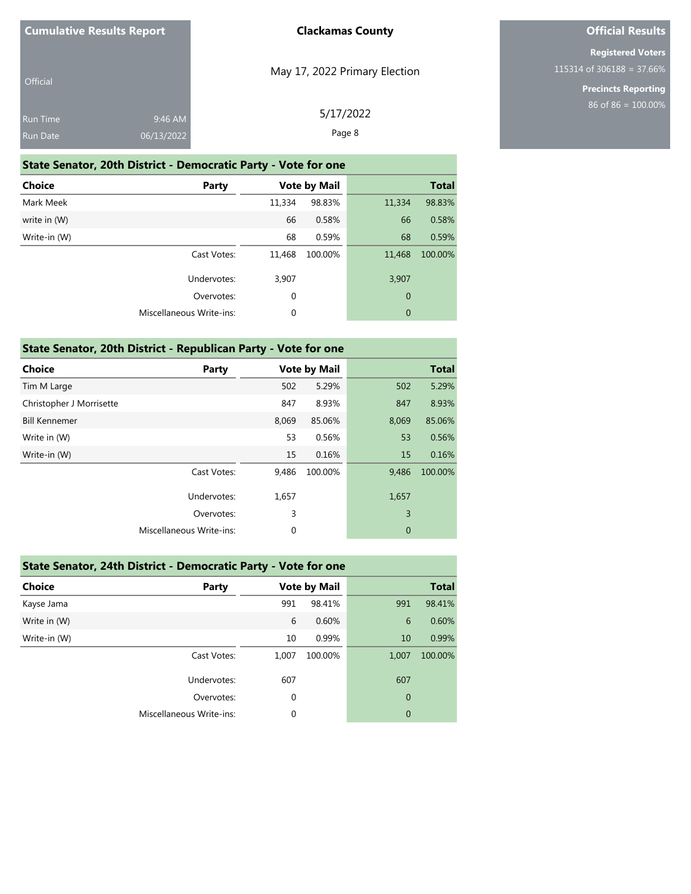|  | <b>Cumulative Results Report</b> |
|--|----------------------------------|
|--|----------------------------------|

| Official        |                     |  |
|-----------------|---------------------|--|
| <b>Run Time</b> | $9:46$ AM           |  |
| <b>Run Date</b> | $\sqrt{06/13}/2022$ |  |

May 17, 2022 Primary Election

**Official Results**

**Registered Voters** 115314 of 306188 = 37.66%

> **Precincts Reporting** 86 of 86 = 100.00%

|  | 5/17/2022 |
|--|-----------|
|  |           |

Page 8

# **State Senator, 20th District - Democratic Party - Vote for one**

| <b>Choice</b> | Party                    |        | <b>Vote by Mail</b> |             | <b>Total</b> |
|---------------|--------------------------|--------|---------------------|-------------|--------------|
| Mark Meek     |                          | 11,334 | 98.83%              | 11,334      | 98.83%       |
| write in (W)  |                          | 66     | 0.58%               | 66          | 0.58%        |
| Write-in (W)  |                          | 68     | 0.59%               | 68          | 0.59%        |
|               | Cast Votes:              | 11,468 | 100.00%             | 11,468      | 100.00%      |
|               | Undervotes:              | 3,907  |                     | 3,907       |              |
|               | Overvotes:               | 0      |                     | $\mathbf 0$ |              |
|               | Miscellaneous Write-ins: | 0      |                     | $\mathbf 0$ |              |
|               |                          |        |                     |             |              |

| State Senator, 20th District - Republican Party - Vote for one |                          |       |                     |          |              |  |
|----------------------------------------------------------------|--------------------------|-------|---------------------|----------|--------------|--|
| <b>Choice</b>                                                  | Party                    |       | <b>Vote by Mail</b> |          | <b>Total</b> |  |
| Tim M Large                                                    |                          | 502   | 5.29%               | 502      | 5.29%        |  |
| Christopher J Morrisette                                       |                          | 847   | 8.93%               | 847      | 8.93%        |  |
| <b>Bill Kennemer</b>                                           |                          | 8,069 | 85.06%              | 8,069    | 85.06%       |  |
| Write in (W)                                                   |                          | 53    | 0.56%               | 53       | 0.56%        |  |
| Write-in (W)                                                   |                          | 15    | 0.16%               | 15       | 0.16%        |  |
|                                                                | Cast Votes:              | 9,486 | 100.00%             | 9,486    | 100.00%      |  |
|                                                                | Undervotes:              | 1,657 |                     | 1,657    |              |  |
|                                                                | Overvotes:               | 3     |                     | 3        |              |  |
|                                                                | Miscellaneous Write-ins: | 0     |                     | $\theta$ |              |  |

| State Senator, 24th District - Democratic Party - Vote for one |                          |       |                     |                |              |  |
|----------------------------------------------------------------|--------------------------|-------|---------------------|----------------|--------------|--|
| <b>Choice</b>                                                  | <b>Party</b>             |       | <b>Vote by Mail</b> |                | <b>Total</b> |  |
| Kayse Jama                                                     |                          | 991   | 98.41%              | 991            | 98.41%       |  |
| Write in (W)                                                   |                          | 6     | 0.60%               | 6              | 0.60%        |  |
| Write-in (W)                                                   |                          | 10    | 0.99%               | 10             | 0.99%        |  |
|                                                                | Cast Votes:              | 1.007 | 100.00%             | 1,007          | 100.00%      |  |
|                                                                | Undervotes:              | 607   |                     | 607            |              |  |
|                                                                | Overvotes:               | 0     |                     | 0              |              |  |
|                                                                | Miscellaneous Write-ins: | 0     |                     | $\overline{0}$ |              |  |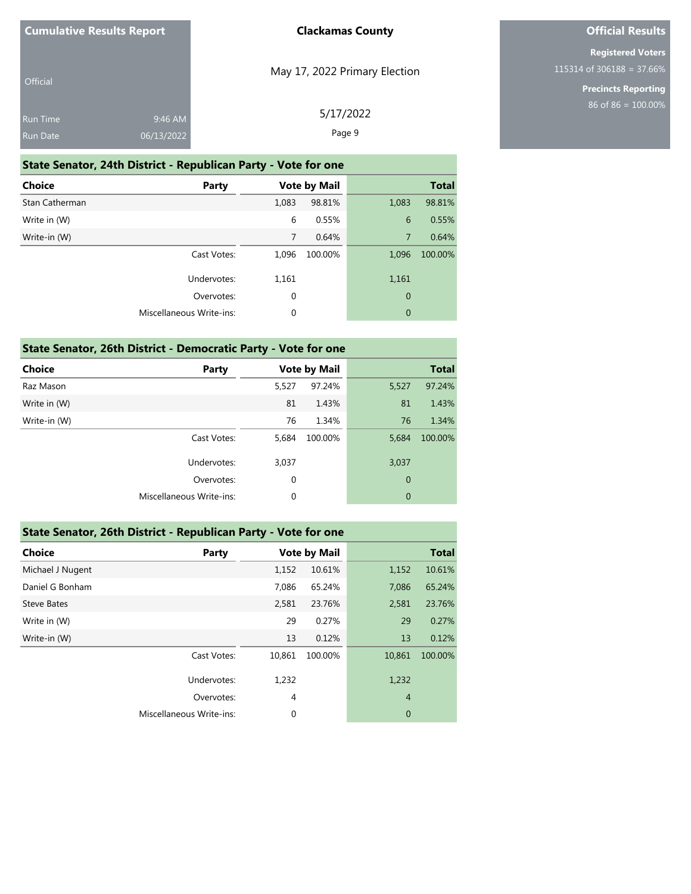| <b>Official</b> |            |  |
|-----------------|------------|--|
| <b>Run Time</b> | 9:46 AM    |  |
| <b>Run Date</b> | 06/13/2022 |  |

May 17, 2022 Primary Election

# **Official Results**

**Registered Voters** 115314 of 306188 = 37.66%

> **Precincts Reporting** 86 of 86 = 100.00%

| 5/17/2022 |  |
|-----------|--|
| Page 9    |  |

# **State Senator, 24th District - Republican Party - Vote for one Choice Party Vote by Mail Total** Stan Catherman 1,083 98.81% 1,083 98.81% Write in (W) **6 0.55%** 6 0.55% 6 0.55% Write-in (W) 7 0.64% 7 0.64% 7 0.64% Cast Votes: 1,096 100.00% 1,096 100.00% Undervotes: 1,161 1,161 Overvotes: 0 0

Miscellaneous Write-ins: 0 0

| State Senator, 26th District - Democratic Party - Vote for one |                          |             |                     |                |              |  |  |  |
|----------------------------------------------------------------|--------------------------|-------------|---------------------|----------------|--------------|--|--|--|
| <b>Choice</b>                                                  | Party                    |             | <b>Vote by Mail</b> |                | <b>Total</b> |  |  |  |
| Raz Mason                                                      |                          | 5.527       | 97.24%              | 5,527          | 97.24%       |  |  |  |
| Write in (W)                                                   |                          | 81          | 1.43%               | 81             | 1.43%        |  |  |  |
| Write-in (W)                                                   |                          | 76          | 1.34%               | 76             | 1.34%        |  |  |  |
|                                                                | Cast Votes:              | 5.684       | 100.00%             | 5,684          | 100.00%      |  |  |  |
|                                                                | Undervotes:              | 3,037       |                     | 3,037          |              |  |  |  |
|                                                                | Overvotes:               | 0           |                     | $\overline{0}$ |              |  |  |  |
|                                                                | Miscellaneous Write-ins: | $\mathbf 0$ |                     | $\mathbf{0}$   |              |  |  |  |

#### **State Senator, 26th District - Republican Party - Vote for one**

| <b>Choice</b>      | Party                    |                | <b>Vote by Mail</b> |                | <b>Total</b> |
|--------------------|--------------------------|----------------|---------------------|----------------|--------------|
| Michael J Nugent   |                          | 1,152          | 10.61%              | 1,152          | 10.61%       |
| Daniel G Bonham    |                          | 7,086          | 65.24%              | 7,086          | 65.24%       |
| <b>Steve Bates</b> |                          | 2,581          | 23.76%              | 2,581          | 23.76%       |
| Write in (W)       |                          | 29             | 0.27%               | 29             | 0.27%        |
| Write-in (W)       |                          | 13             | 0.12%               | 13             | 0.12%        |
|                    | Cast Votes:              | 10,861         | 100.00%             | 10,861         | 100.00%      |
|                    | Undervotes:              | 1,232          |                     | 1,232          |              |
|                    | Overvotes:               | $\overline{4}$ |                     | $\overline{4}$ |              |
|                    | Miscellaneous Write-ins: | $\mathbf 0$    |                     | $\overline{0}$ |              |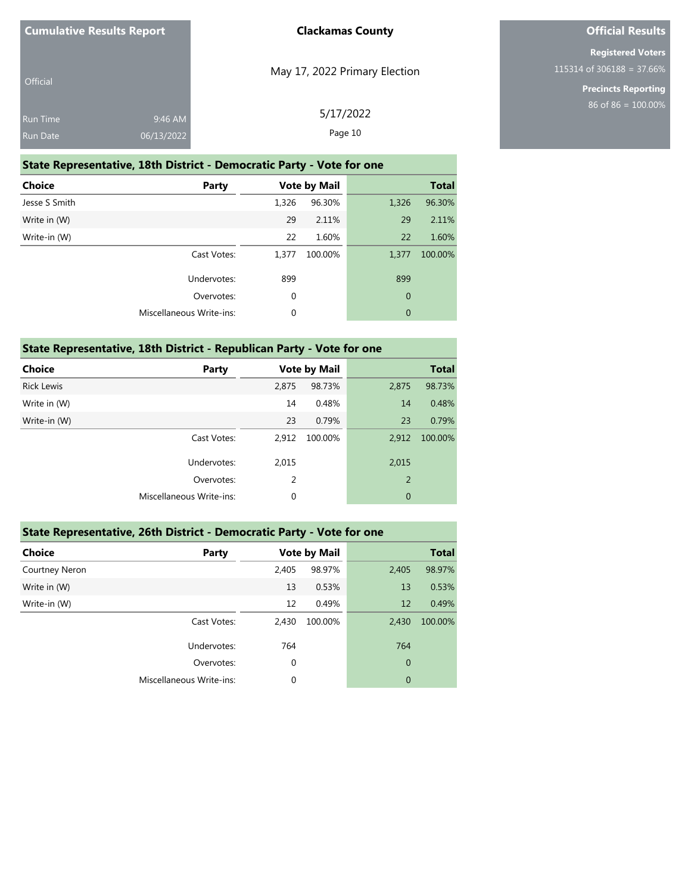| <b>Cumulative Results Report</b>   |                       | <b>Clackamas County</b>       |
|------------------------------------|-----------------------|-------------------------------|
| <b>Official</b>                    |                       | May 17, 2022 Primary Election |
| <b>Run Time</b><br><b>Run Date</b> | 9:46 AM<br>06/13/2022 | 5/17/2022<br>Page 10          |

### **State Representative, 18th District - Democratic Party - Vote for one**

| <b>Choice</b> | Party                    |       | <b>Vote by Mail</b> |                | <b>Total</b> |
|---------------|--------------------------|-------|---------------------|----------------|--------------|
| Jesse S Smith |                          | 1,326 | 96.30%              | 1,326          | 96.30%       |
| Write in (W)  |                          | 29    | 2.11%               | 29             | 2.11%        |
| Write-in (W)  |                          | 22    | 1.60%               | 22             | 1.60%        |
|               | Cast Votes:              | 1,377 | 100.00%             | 1,377          | 100.00%      |
|               | Undervotes:              | 899   |                     | 899            |              |
|               | Overvotes:               | 0     |                     | $\overline{0}$ |              |
|               | Miscellaneous Write-ins: | 0     |                     | $\mathbf{0}$   |              |

### **State Representative, 18th District - Republican Party - Vote for one**

| Party                    |       |         |                     | <b>Total</b> |
|--------------------------|-------|---------|---------------------|--------------|
|                          | 2,875 | 98.73%  | 2,875               | 98.73%       |
|                          | 14    | 0.48%   | 14                  | 0.48%        |
|                          | 23    | 0.79%   | 23                  | 0.79%        |
| Cast Votes:              | 2,912 | 100.00% | 2,912               | 100.00%      |
| Undervotes:              | 2,015 |         | 2,015               |              |
| Overvotes:               | 2     |         | 2                   |              |
| Miscellaneous Write-ins: | 0     |         | $\overline{0}$      |              |
|                          |       |         | <b>Vote by Mail</b> |              |

### **State Representative, 26th District - Democratic Party - Vote for one**

| <b>Choice</b>  | Party                    |             | <b>Vote by Mail</b> |                | <b>Total</b> |
|----------------|--------------------------|-------------|---------------------|----------------|--------------|
| Courtney Neron |                          | 2,405       | 98.97%              | 2,405          | 98.97%       |
| Write in (W)   |                          | 13          | 0.53%               | 13             | 0.53%        |
| Write-in (W)   |                          | 12          | 0.49%               | 12             | 0.49%        |
|                | Cast Votes:              | 2,430       | 100.00%             | 2,430          | 100.00%      |
|                | Undervotes:              | 764         |                     | 764            |              |
|                | Overvotes:               | 0           |                     | $\mathbf 0$    |              |
|                | Miscellaneous Write-ins: | $\mathbf 0$ |                     | $\overline{0}$ |              |
|                |                          |             |                     |                |              |

### **Official Results**

**Registered Voters** 115314 of 306188 = 37.66%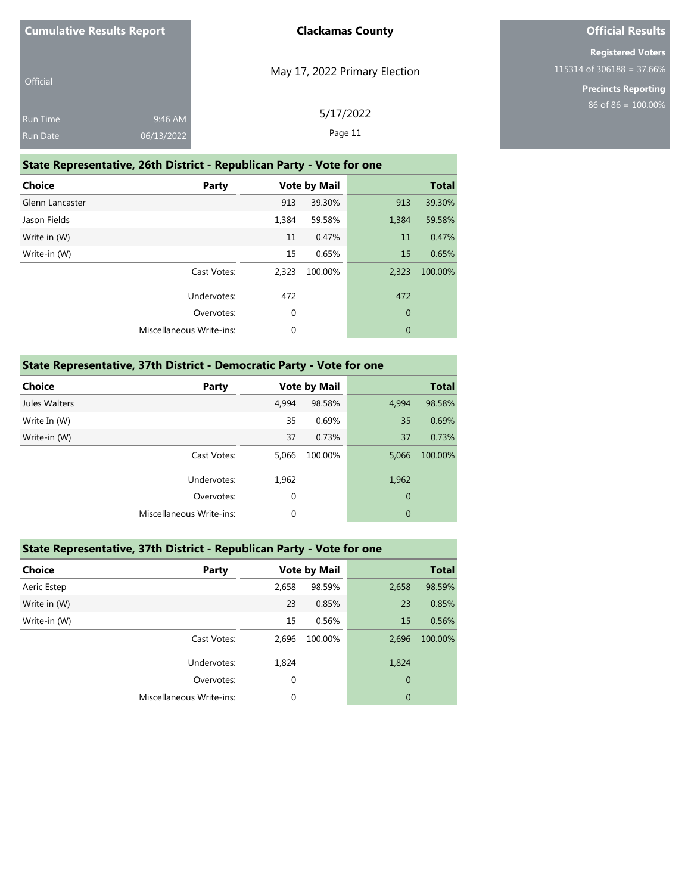| <b>Cumulative Results Report</b>   |                       | <b>Clackamas County</b>       |
|------------------------------------|-----------------------|-------------------------------|
| <b>Official</b>                    |                       | May 17, 2022 Primary Election |
| <b>Run Time</b><br><b>Run Date</b> | 9:46 AM<br>06/13/2022 | 5/17/2022<br>Page 11          |

### **State Representative, 26th District - Republican Party - Vote for one**

| <b>Choice</b><br><b>Party</b> |       | <b>Vote by Mail</b> |                | <b>Total</b> |
|-------------------------------|-------|---------------------|----------------|--------------|
| Glenn Lancaster               | 913   | 39.30%              | 913            | 39.30%       |
| Jason Fields                  | 1,384 | 59.58%              | 1,384          | 59.58%       |
| Write in (W)                  | 11    | 0.47%               | 11             | 0.47%        |
| Write-in (W)                  | 15    | 0.65%               | 15             | 0.65%        |
| Cast Votes:                   | 2.323 | 100.00%             | 2,323          | 100.00%      |
| Undervotes:                   | 472   |                     | 472            |              |
| Overvotes:                    | 0     |                     | $\mathbf{0}$   |              |
| Miscellaneous Write-ins:      | 0     |                     | $\overline{0}$ |              |

### **State Representative, 37th District - Democratic Party - Vote for one**

| <b>Choice</b> | Party                    |             | <b>Vote by Mail</b> |                | <b>Total</b> |
|---------------|--------------------------|-------------|---------------------|----------------|--------------|
| Jules Walters |                          | 4,994       | 98.58%              | 4,994          | 98.58%       |
| Write In (W)  |                          | 35          | 0.69%               | 35             | 0.69%        |
| Write-in (W)  |                          | 37          | 0.73%               | 37             | 0.73%        |
|               | Cast Votes:              | 5,066       | 100.00%             | 5,066          | 100.00%      |
|               | Undervotes:              | 1,962       |                     | 1,962          |              |
|               | Overvotes:               | 0           |                     | $\overline{0}$ |              |
|               | Miscellaneous Write-ins: | $\mathbf 0$ |                     | $\overline{0}$ |              |
|               |                          |             |                     |                |              |

### **State Representative, 37th District - Republican Party - Vote for one**

| <b>Choice</b> | Party                    |             | <b>Vote by Mail</b> |                | <b>Total</b> |
|---------------|--------------------------|-------------|---------------------|----------------|--------------|
| Aeric Estep   |                          | 2,658       | 98.59%              | 2,658          | 98.59%       |
| Write in (W)  |                          | 23          | 0.85%               | 23             | 0.85%        |
| Write-in (W)  |                          | 15          | 0.56%               | 15             | 0.56%        |
|               | Cast Votes:              | 2,696       | 100.00%             | 2,696          | 100.00%      |
|               | Undervotes:              | 1,824       |                     | 1,824          |              |
|               | Overvotes:               | $\mathbf 0$ |                     | $\mathbf{0}$   |              |
|               | Miscellaneous Write-ins: | 0           |                     | $\overline{0}$ |              |

### **Official Results**

**Registered Voters** 115314 of 306188 = 37.66%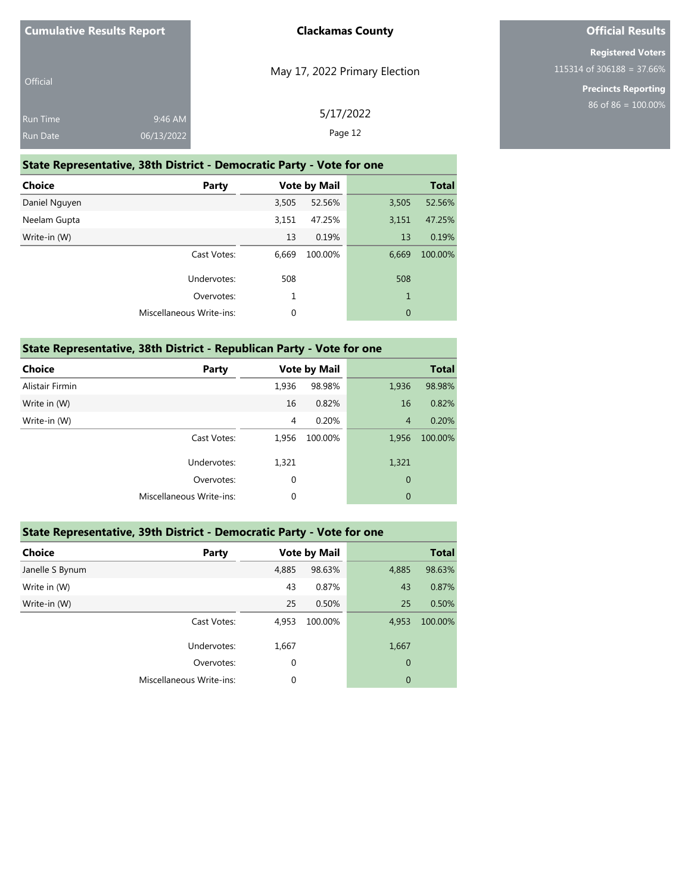| <b>Cumulative Results Report</b>   |                       | <b>Clackamas County</b>       |
|------------------------------------|-----------------------|-------------------------------|
| <b>Official</b>                    |                       | May 17, 2022 Primary Election |
| <b>Run Time</b><br><b>Run Date</b> | 9:46 AM<br>06/13/2022 | 5/17/2022<br>Page 12          |

### **State Representative, 38th District - Democratic Party - Vote for one**

| <b>Choice</b><br>Party          |       | <b>Vote by Mail</b> |              | <b>Total</b> |
|---------------------------------|-------|---------------------|--------------|--------------|
| Daniel Nguyen                   | 3,505 | 52.56%              | 3,505        | 52.56%       |
| Neelam Gupta                    | 3,151 | 47.25%              | 3,151        | 47.25%       |
| Write-in (W)                    | 13    | 0.19%               | 13           | 0.19%        |
| Cast Votes:                     | 6,669 | 100.00%             | 6,669        | 100.00%      |
| Undervotes:                     | 508   |                     | 508          |              |
| Overvotes:                      | 1     |                     | $\mathbf{1}$ |              |
| <b>Miscellaneous Write-ins:</b> | 0     |                     | $\mathbf{0}$ |              |

### **State Representative, 38th District - Republican Party - Vote for one**

| Party                    |                |         |                     | <b>Total</b> |
|--------------------------|----------------|---------|---------------------|--------------|
|                          | 1,936          | 98.98%  | 1,936               | 98.98%       |
|                          | 16             | 0.82%   | 16                  | 0.82%        |
|                          | $\overline{4}$ | 0.20%   | $\overline{4}$      | 0.20%        |
| Cast Votes:              | 1,956          | 100.00% | 1,956               | 100.00%      |
| Undervotes:              | 1,321          |         | 1,321               |              |
| Overvotes:               | $\mathbf 0$    |         | $\mathbf 0$         |              |
| Miscellaneous Write-ins: | 0              |         | $\overline{0}$      |              |
|                          |                |         | <b>Vote by Mail</b> |              |

### **State Representative, 39th District - Democratic Party - Vote for one**

| <b>Choice</b>   | Party                    |             | <b>Vote by Mail</b> |                | <b>Total</b> |
|-----------------|--------------------------|-------------|---------------------|----------------|--------------|
| Janelle S Bynum |                          | 4,885       | 98.63%              | 4,885          | 98.63%       |
| Write in (W)    |                          | 43          | 0.87%               | 43             | 0.87%        |
| Write-in (W)    |                          | 25          | 0.50%               | 25             | 0.50%        |
|                 | Cast Votes:              | 4,953       | 100.00%             | 4,953          | 100.00%      |
|                 | Undervotes:              | 1,667       |                     | 1,667          |              |
|                 | Overvotes:               | $\mathbf 0$ |                     | $\mathbf 0$    |              |
|                 | Miscellaneous Write-ins: | 0           |                     | $\overline{0}$ |              |
|                 |                          |             |                     |                |              |

### **Official Results**

**Registered Voters** 115314 of 306188 = 37.66%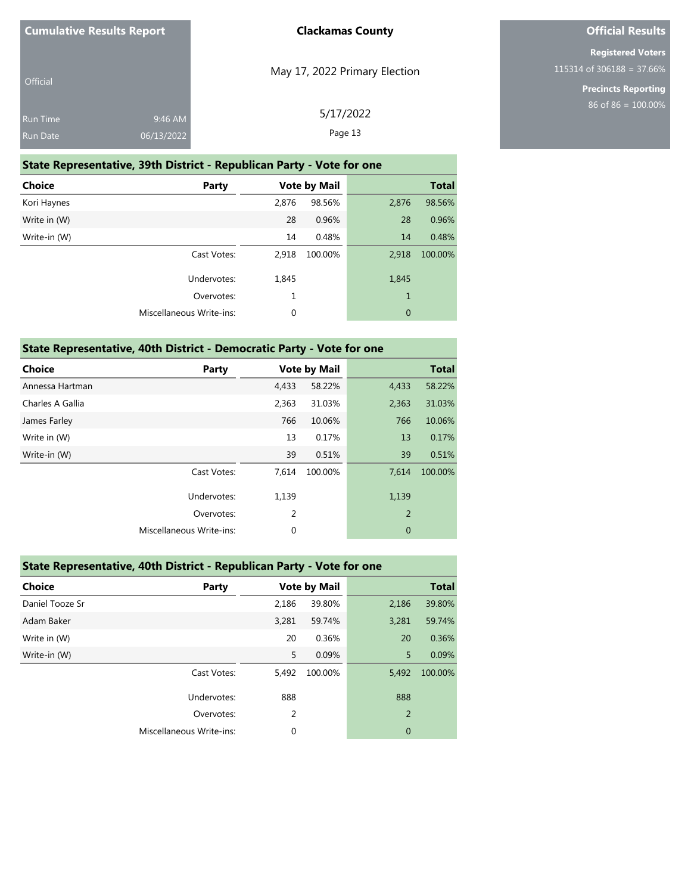| <b>Cumulative Results Report</b>   |                       | <b>Clackamas County</b>       |
|------------------------------------|-----------------------|-------------------------------|
| Official                           |                       | May 17, 2022 Primary Election |
| <b>Run Time</b><br><b>Run Date</b> | 9:46 AM<br>06/13/2022 | 5/17/2022<br>Page 13          |

### **State Representative, 39th District - Republican Party - Vote for one**

| <b>Choice</b> | Party                           | <b>Vote by Mail</b> |         | <b>Total</b> |         |
|---------------|---------------------------------|---------------------|---------|--------------|---------|
| Kori Haynes   |                                 | 2,876               | 98.56%  | 2,876        | 98.56%  |
| Write in (W)  |                                 | 28                  | 0.96%   | 28           | 0.96%   |
| Write-in (W)  |                                 | 14                  | 0.48%   | 14           | 0.48%   |
|               | Cast Votes:                     | 2,918               | 100.00% | 2,918        | 100.00% |
|               | Undervotes:                     | 1,845               |         | 1,845        |         |
|               | Overvotes:                      | 1                   |         | 1            |         |
|               | <b>Miscellaneous Write-ins:</b> | 0                   |         | $\theta$     |         |

### **State Representative, 40th District - Democratic Party - Vote for one**

| <b>Choice</b>    | <b>Party</b>                    |             | <b>Vote by Mail</b> |             | <b>Total</b> |
|------------------|---------------------------------|-------------|---------------------|-------------|--------------|
| Annessa Hartman  |                                 | 4,433       | 58.22%              | 4,433       | 58.22%       |
| Charles A Gallia |                                 | 2,363       | 31.03%              | 2,363       | 31.03%       |
| James Farley     |                                 | 766         | 10.06%              | 766         | 10.06%       |
| Write in (W)     |                                 | 13          | 0.17%               | 13          | 0.17%        |
| Write-in (W)     |                                 | 39          | 0.51%               | 39          | 0.51%        |
|                  | Cast Votes:                     | 7,614       | 100.00%             | 7.614       | 100.00%      |
|                  | Undervotes:                     | 1,139       |                     | 1,139       |              |
|                  | Overvotes:                      | 2           |                     | 2           |              |
|                  | <b>Miscellaneous Write-ins:</b> | $\mathbf 0$ |                     | $\mathbf 0$ |              |
|                  |                                 |             |                     |             |              |

| State Representative, 40th District - Republican Party - Vote for one |                          |       |                     |       |              |  |
|-----------------------------------------------------------------------|--------------------------|-------|---------------------|-------|--------------|--|
| <b>Choice</b>                                                         | Party                    |       | <b>Vote by Mail</b> |       | <b>Total</b> |  |
| Daniel Tooze Sr                                                       |                          | 2,186 | 39.80%              | 2,186 | 39.80%       |  |
| Adam Baker                                                            |                          | 3,281 | 59.74%              | 3,281 | 59.74%       |  |
| Write in (W)                                                          |                          | 20    | 0.36%               | 20    | 0.36%        |  |
| Write-in (W)                                                          |                          | 5     | 0.09%               | 5     | 0.09%        |  |
|                                                                       | Cast Votes:              | 5,492 | 100.00%             | 5.492 | 100.00%      |  |
|                                                                       | Undervotes:              | 888   |                     | 888   |              |  |
|                                                                       | Overvotes:               | 2     |                     | 2     |              |  |
|                                                                       | Miscellaneous Write-ins: | 0     |                     | 0     |              |  |

### **Official Results**

**Registered Voters** 115314 of 306188 = 37.66%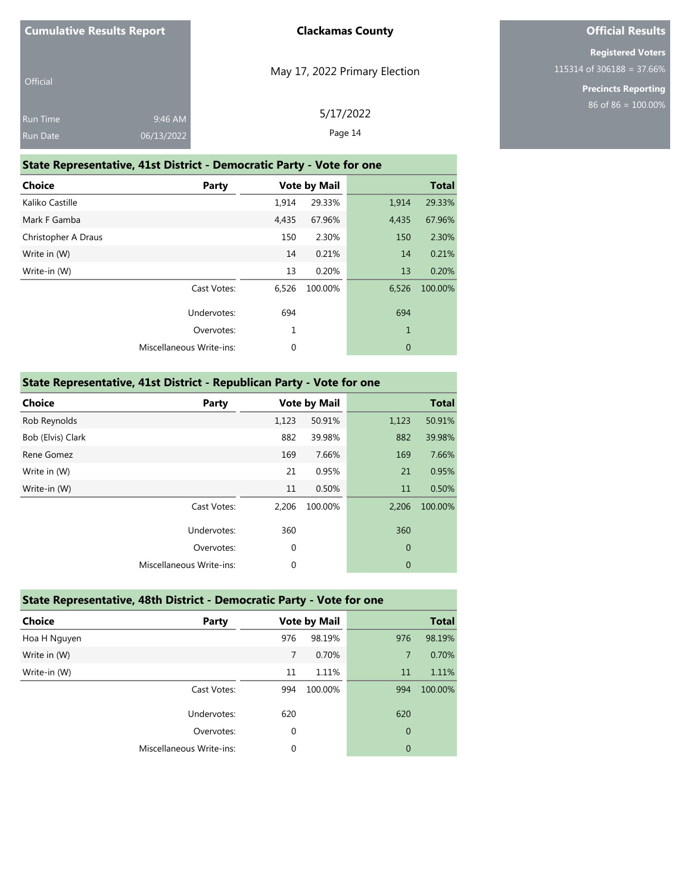| <b>Cumulative Results Report</b> |  |  |
|----------------------------------|--|--|
|----------------------------------|--|--|

| Official        |            |  |
|-----------------|------------|--|
| <b>Run Time</b> | 9:46 AM    |  |
| <b>Run Date</b> | 06/13/2022 |  |

May 17, 2022 Primary Election

5/17/2022 Page 14

# **Official Results**

**Registered Voters** 115314 of 306188 = 37.66%

> **Precincts Reporting** 86 of 86 = 100.00%

|  | State Representative, 41st District - Democratic Party - Vote for one |  |
|--|-----------------------------------------------------------------------|--|

| <b>Choice</b>       | Party                           | <b>Vote by Mail</b> |         |              | <b>Total</b> |
|---------------------|---------------------------------|---------------------|---------|--------------|--------------|
| Kaliko Castille     |                                 | 1,914               | 29.33%  | 1,914        | 29.33%       |
| Mark F Gamba        |                                 | 4,435               | 67.96%  | 4,435        | 67.96%       |
| Christopher A Draus |                                 | 150                 | 2.30%   | 150          | 2.30%        |
| Write in (W)        |                                 | 14                  | 0.21%   | 14           | 0.21%        |
| Write-in (W)        |                                 | 13                  | 0.20%   | 13           | 0.20%        |
|                     | Cast Votes:                     | 6,526               | 100.00% | 6,526        | 100.00%      |
|                     | Undervotes:                     | 694                 |         | 694          |              |
|                     | Overvotes:                      | 1                   |         | $\mathbf{1}$ |              |
|                     | <b>Miscellaneous Write-ins:</b> | 0                   |         | $\mathbf{0}$ |              |
|                     |                                 |                     |         |              |              |

### **State Representative, 41st District - Republican Party - Vote for one**

| <b>Choice</b>     | Party                           |             | <b>Vote by Mail</b> |             | <b>Total</b> |
|-------------------|---------------------------------|-------------|---------------------|-------------|--------------|
| Rob Reynolds      |                                 | 1,123       | 50.91%              | 1,123       | 50.91%       |
| Bob (Elvis) Clark |                                 | 882         | 39.98%              | 882         | 39.98%       |
| Rene Gomez        |                                 | 169         | 7.66%               | 169         | 7.66%        |
| Write in (W)      |                                 | 21          | 0.95%               | 21          | 0.95%        |
| Write-in (W)      |                                 | 11          | 0.50%               | 11          | 0.50%        |
|                   | Cast Votes:                     | 2,206       | 100.00%             | 2,206       | 100.00%      |
|                   | Undervotes:                     | 360         |                     | 360         |              |
|                   | Overvotes:                      | $\mathbf 0$ |                     | $\mathbf 0$ |              |
|                   | <b>Miscellaneous Write-ins:</b> | $\mathbf 0$ |                     | $\mathbf 0$ |              |

| State Representative, 48th District - Democratic Party - Vote for one |  |  |
|-----------------------------------------------------------------------|--|--|
|                                                                       |  |  |

| <b>Choice</b> | <b>Party</b>             | <b>Vote by Mail</b> |         |                | <b>Total</b> |
|---------------|--------------------------|---------------------|---------|----------------|--------------|
| Hoa H Nguyen  |                          | 976                 | 98.19%  | 976            | 98.19%       |
| Write in (W)  |                          | 7                   | 0.70%   | 7              | 0.70%        |
| Write-in (W)  |                          | 11                  | 1.11%   | 11             | 1.11%        |
|               | Cast Votes:              | 994                 | 100.00% | 994            | 100.00%      |
|               | Undervotes:              | 620                 |         | 620            |              |
|               | Overvotes:               | 0                   |         | $\mathbf 0$    |              |
|               | Miscellaneous Write-ins: | 0                   |         | $\overline{0}$ |              |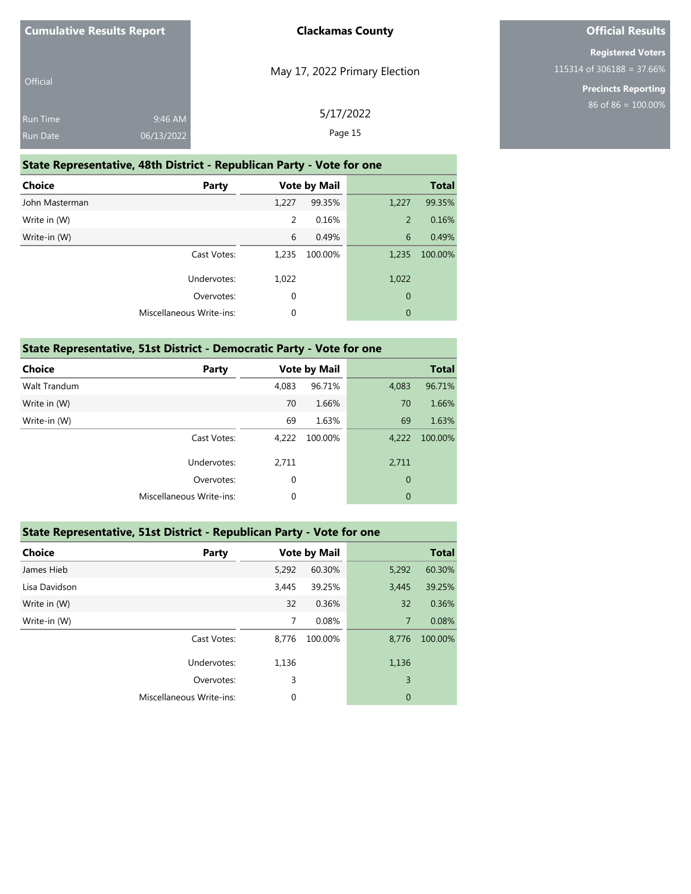| <b>Cumulative Results Report</b>   |                       | <b>Clackamas County</b>       |
|------------------------------------|-----------------------|-------------------------------|
| <b>Official</b>                    |                       | May 17, 2022 Primary Election |
| <b>Run Time</b><br><b>Run Date</b> | 9:46 AM<br>06/13/2022 | 5/17/2022<br>Page 15          |

### **State Representative, 48th District - Republican Party - Vote for one**

| <b>Choice</b><br>Party   |       | <b>Vote by Mail</b> |                | <b>Total</b> |
|--------------------------|-------|---------------------|----------------|--------------|
| John Masterman           | 1,227 | 99.35%              | 1,227          | 99.35%       |
| Write in (W)             | 2     | 0.16%               | $\overline{2}$ | 0.16%        |
| Write-in (W)             | 6     | 0.49%               | 6              | 0.49%        |
| Cast Votes:              | 1,235 | 100.00%             | 1,235          | 100.00%      |
| Undervotes:              | 1,022 |                     | 1,022          |              |
| Overvotes:               | 0     |                     | $\theta$       |              |
| Miscellaneous Write-ins: | 0     |                     | $\mathbf{0}$   |              |

### **State Representative, 51st District - Democratic Party - Vote for one**

| <b>Choice</b> | Party                    |       | <b>Vote by Mail</b> |                | <b>Total</b> |
|---------------|--------------------------|-------|---------------------|----------------|--------------|
| Walt Trandum  |                          | 4,083 | 96.71%              | 4,083          | 96.71%       |
| Write in (W)  |                          | 70    | 1.66%               | 70             | 1.66%        |
| Write-in (W)  |                          | 69    | 1.63%               | 69             | 1.63%        |
|               | Cast Votes:              | 4,222 | 100.00%             | 4,222          | 100.00%      |
|               | Undervotes:              | 2,711 |                     | 2,711          |              |
|               | Overvotes:               | 0     |                     | $\mathbf{0}$   |              |
|               | Miscellaneous Write-ins: | 0     |                     | $\overline{0}$ |              |
|               |                          |       |                     |                |              |

### **State Representative, 51st District - Republican Party - Vote for one**

| <b>Choice</b> | Party                    | <b>Vote by Mail</b> |         |              | <b>Total</b> |
|---------------|--------------------------|---------------------|---------|--------------|--------------|
| James Hieb    |                          | 5,292               | 60.30%  | 5,292        | 60.30%       |
| Lisa Davidson |                          | 3,445               | 39.25%  | 3,445        | 39.25%       |
| Write in (W)  |                          | 32                  | 0.36%   | 32           | 0.36%        |
| Write-in (W)  |                          | 7                   | 0.08%   | 7            | 0.08%        |
|               | Cast Votes:              | 8,776               | 100.00% | 8,776        | 100.00%      |
|               | Undervotes:              | 1,136               |         | 1,136        |              |
|               | Overvotes:               | 3                   |         | 3            |              |
|               | Miscellaneous Write-ins: | $\mathbf 0$         |         | $\mathbf{0}$ |              |

### **Official Results**

**Registered Voters** 115314 of 306188 = 37.66%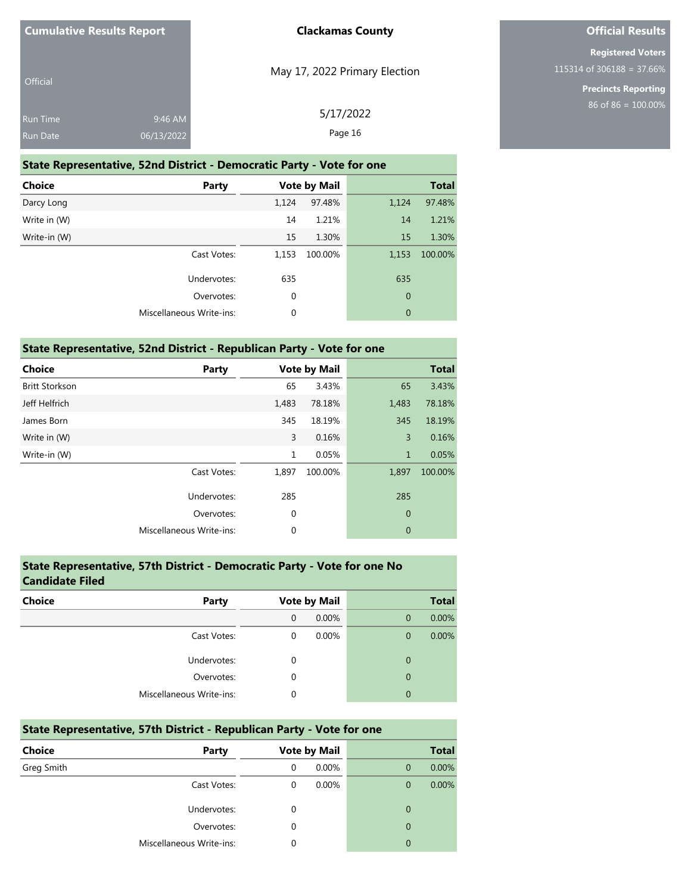| <b>Cumulative Results Report</b>   |                       | <b>Clackamas County</b>       |
|------------------------------------|-----------------------|-------------------------------|
| <b>Official</b>                    |                       | May 17, 2022 Primary Election |
| <b>Run Time</b><br><b>Run Date</b> | 9:46 AM<br>06/13/2022 | 5/17/2022<br>Page 16          |

#### **State Representative, 52nd District - Democratic Party - Vote for one**

| <b>Choice</b><br>Party   | <b>Vote by Mail</b> |         |                | <b>Total</b> |
|--------------------------|---------------------|---------|----------------|--------------|
| Darcy Long               | 1,124               | 97.48%  | 1,124          | 97.48%       |
| Write in (W)             | 14                  | 1.21%   | 14             | 1.21%        |
| Write-in (W)             | 15                  | 1.30%   | 15             | 1.30%        |
| Cast Votes:              | 1,153               | 100.00% | 1,153          | 100.00%      |
| Undervotes:              | 635                 |         | 635            |              |
| Overvotes:               | $\mathbf 0$         |         | $\overline{0}$ |              |
| Miscellaneous Write-ins: | 0                   |         | $\mathbf{0}$   |              |

### **State Representative, 52nd District - Republican Party - Vote for one**

| <b>Choice</b>         | Party                           | <b>Vote by Mail</b> |         |                | <b>Total</b> |
|-----------------------|---------------------------------|---------------------|---------|----------------|--------------|
| <b>Britt Storkson</b> |                                 | 65                  | 3.43%   | 65             | 3.43%        |
| Jeff Helfrich         |                                 | 1,483               | 78.18%  | 1,483          | 78.18%       |
| James Born            |                                 | 345                 | 18.19%  | 345            | 18.19%       |
| Write in (W)          |                                 | 3                   | 0.16%   | 3              | 0.16%        |
| Write-in (W)          |                                 | $\mathbf{1}$        | 0.05%   | $\mathbf{1}$   | 0.05%        |
|                       | Cast Votes:                     | 1,897               | 100.00% | 1,897          | 100.00%      |
|                       | Undervotes:                     | 285                 |         | 285            |              |
|                       | Overvotes:                      | $\mathbf 0$         |         | $\mathbf{0}$   |              |
|                       | <b>Miscellaneous Write-ins:</b> | $\mathbf 0$         |         | $\overline{0}$ |              |

# **State Representative, 57th District - Democratic Party - Vote for one No Candidate Filed Choice Party Vote by Mail Total** 0 0.00% 0 0.00% Cast Votes: 0 0.00% 0 0.00% 0 0.00% Undervotes: 0 0 Overvotes: 0 0 Miscellaneous Write-ins: 0 0

| State Representative, 57th District - Republican Party - Vote for one |                          |   |                     |             |              |  |
|-----------------------------------------------------------------------|--------------------------|---|---------------------|-------------|--------------|--|
| <b>Choice</b>                                                         | Party                    |   | <b>Vote by Mail</b> |             | <b>Total</b> |  |
| Greg Smith                                                            |                          | 0 | 0.00%               | $\Omega$    | 0.00%        |  |
|                                                                       | Cast Votes:              | 0 | $0.00\%$            | $\Omega$    | $0.00\%$     |  |
|                                                                       | Undervotes:              | 0 |                     | $\mathbf 0$ |              |  |
|                                                                       | Overvotes:               | 0 |                     | $\mathbf 0$ |              |  |
|                                                                       | Miscellaneous Write-ins: | 0 |                     | 0           |              |  |

### **Official Results**

**Registered Voters** 115314 of 306188 = 37.66%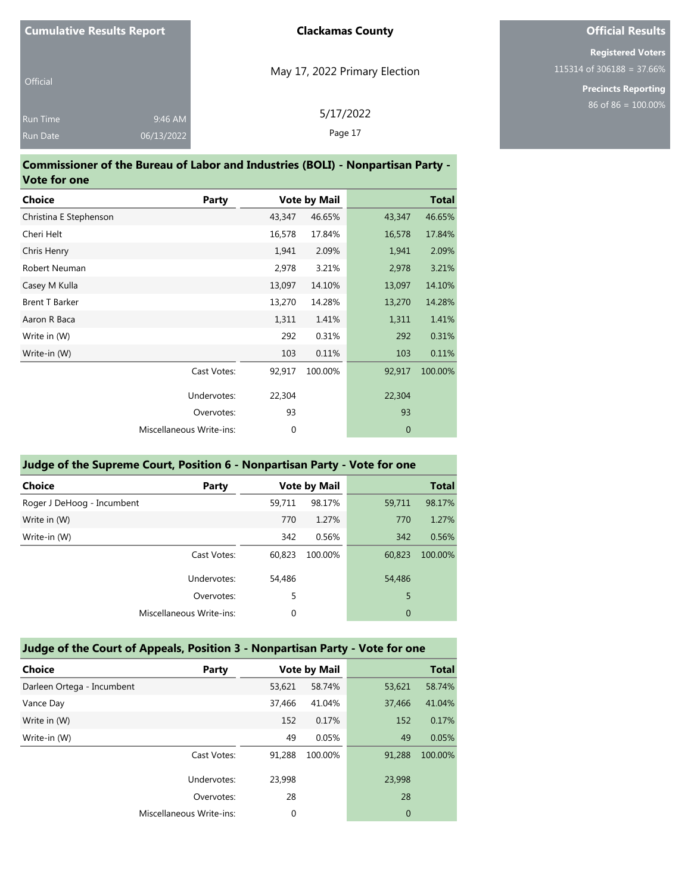| <b>Cumulative Results Report</b>   |                       | <b>Clackamas County</b>       |
|------------------------------------|-----------------------|-------------------------------|
| <b>Official</b>                    |                       | May 17, 2022 Primary Election |
| <b>Run Time</b><br><b>Run Date</b> | 9:46 AM<br>06/13/2022 | 5/17/2022<br>Page 17          |

#### **Commissioner of the Bureau of Labor and Industries (BOLI) - Nonpartisan Party - Vote for one**

| <b>Choice</b>          | Party                    |             | <b>Vote by Mail</b> |             | <b>Total</b> |
|------------------------|--------------------------|-------------|---------------------|-------------|--------------|
| Christina E Stephenson |                          | 43,347      | 46.65%              | 43,347      | 46.65%       |
| Cheri Helt             |                          | 16,578      | 17.84%              | 16,578      | 17.84%       |
| Chris Henry            |                          | 1,941       | 2.09%               | 1,941       | 2.09%        |
| Robert Neuman          |                          | 2,978       | 3.21%               | 2,978       | 3.21%        |
| Casey M Kulla          |                          | 13,097      | 14.10%              | 13,097      | 14.10%       |
| <b>Brent T Barker</b>  |                          | 13,270      | 14.28%              | 13,270      | 14.28%       |
| Aaron R Baca           |                          | 1,311       | 1.41%               | 1,311       | 1.41%        |
| Write in (W)           |                          | 292         | 0.31%               | 292         | 0.31%        |
| Write-in (W)           |                          | 103         | 0.11%               | 103         | 0.11%        |
|                        | Cast Votes:              | 92,917      | 100.00%             | 92,917      | 100.00%      |
|                        | Undervotes:              | 22,304      |                     | 22,304      |              |
|                        | Overvotes:               | 93          |                     | 93          |              |
|                        | Miscellaneous Write-ins: | $\mathbf 0$ |                     | $\mathbf 0$ |              |

### **Judge of the Supreme Court, Position 6 - Nonpartisan Party - Vote for one**

| <b>Choice</b><br>Party     |        | <b>Vote by Mail</b> |        | <b>Total</b> |
|----------------------------|--------|---------------------|--------|--------------|
| Roger J DeHoog - Incumbent | 59,711 | 98.17%              | 59,711 | 98.17%       |
| Write in (W)               | 770    | 1.27%               | 770    | 1.27%        |
| Write-in (W)               | 342    | 0.56%               | 342    | 0.56%        |
| Cast Votes:                | 60,823 | 100.00%             | 60,823 | 100.00%      |
| Undervotes:                | 54,486 |                     | 54,486 |              |
| Overvotes:                 | 5      |                     | 5      |              |
| Miscellaneous Write-ins:   | 0      |                     | 0      |              |
|                            |        |                     |        |              |

### **Judge of the Court of Appeals, Position 3 - Nonpartisan Party - Vote for one**

| <b>Choice</b>              | Party                    |        | <b>Vote by Mail</b> |        | <b>Total</b> |
|----------------------------|--------------------------|--------|---------------------|--------|--------------|
| Darleen Ortega - Incumbent |                          | 53,621 | 58.74%              | 53,621 | 58.74%       |
| Vance Day                  |                          | 37,466 | 41.04%              | 37,466 | 41.04%       |
| Write in (W)               |                          | 152    | 0.17%               | 152    | 0.17%        |
| Write-in (W)               |                          | 49     | 0.05%               | 49     | 0.05%        |
|                            | Cast Votes:              | 91.288 | 100.00%             | 91,288 | 100.00%      |
|                            | Undervotes:              | 23,998 |                     | 23,998 |              |
|                            | Overvotes:               | 28     |                     | 28     |              |
|                            | Miscellaneous Write-ins: | 0      |                     | 0      |              |

# **Official Results**

**Registered Voters** 115314 of 306188 = 37.66%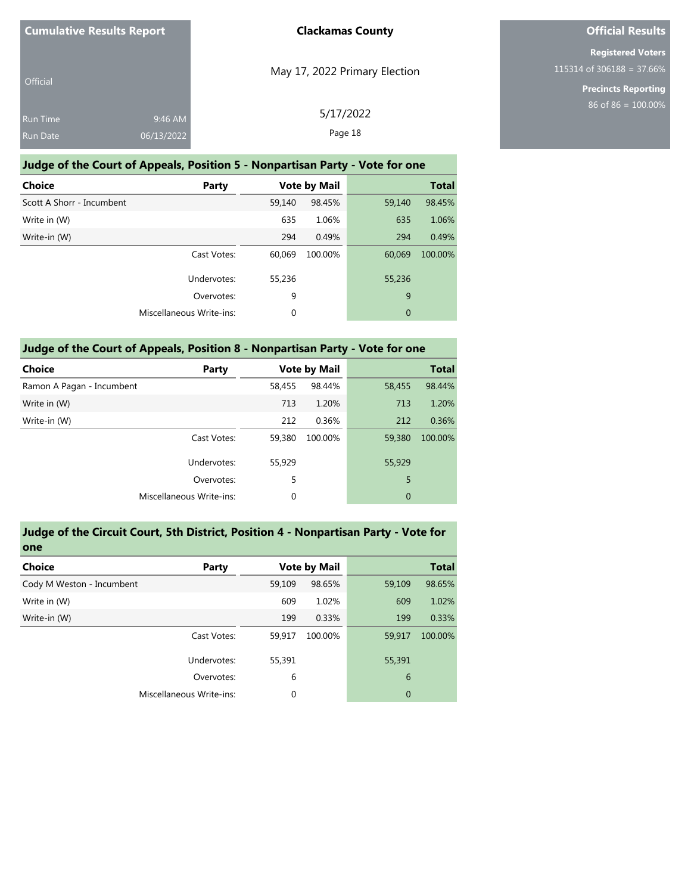| <b>Cumulative Results Report</b> |                       | <b>Clackamas County</b>       |
|----------------------------------|-----------------------|-------------------------------|
| <b>Official</b>                  |                       | May 17, 2022 Primary Election |
| <b>Run Time</b><br>Run Date      | 9:46 AM<br>06/13/2022 | 5/17/2022<br>Page 18          |

### **Judge of the Court of Appeals, Position 5 - Nonpartisan Party - Vote for one**

| <b>Choice</b>             | Party                    | <b>Vote by Mail</b> |         |        | <b>Total</b> |
|---------------------------|--------------------------|---------------------|---------|--------|--------------|
| Scott A Shorr - Incumbent |                          | 59,140              | 98.45%  | 59,140 | 98.45%       |
| Write in (W)              |                          | 635                 | 1.06%   | 635    | 1.06%        |
| Write-in (W)              |                          | 294                 | 0.49%   | 294    | 0.49%        |
|                           | Cast Votes:              | 60,069              | 100.00% | 60,069 | 100.00%      |
|                           | Undervotes:              | 55,236              |         | 55,236 |              |
|                           | Overvotes:               | 9                   |         | 9      |              |
|                           | Miscellaneous Write-ins: | 0                   |         | 0      |              |

| Judge of the Court of Appeals, Position 8 - Nonpartisan Party - Vote for one |                          |        |                     |                |              |  |
|------------------------------------------------------------------------------|--------------------------|--------|---------------------|----------------|--------------|--|
| <b>Choice</b>                                                                | Party                    |        | <b>Vote by Mail</b> |                | <b>Total</b> |  |
| Ramon A Pagan - Incumbent                                                    |                          | 58.455 | 98.44%              | 58,455         | 98.44%       |  |
| Write in (W)                                                                 |                          | 713    | 1.20%               | 713            | 1.20%        |  |
| Write-in (W)                                                                 |                          | 212    | 0.36%               | 212            | 0.36%        |  |
|                                                                              | Cast Votes:              | 59,380 | 100.00%             | 59,380         | 100.00%      |  |
|                                                                              | Undervotes:              | 55,929 |                     | 55,929         |              |  |
|                                                                              | Overvotes:               | 5      |                     | 5              |              |  |
|                                                                              | Miscellaneous Write-ins: | 0      |                     | $\overline{0}$ |              |  |

#### **Judge of the Circuit Court, 5th District, Position 4 - Nonpartisan Party - Vote for one**

| <b>Choice</b>             | <b>Party</b>                    |             | <b>Vote by Mail</b> |                | <b>Total</b> |
|---------------------------|---------------------------------|-------------|---------------------|----------------|--------------|
| Cody M Weston - Incumbent |                                 | 59,109      | 98.65%              | 59,109         | 98.65%       |
| Write in (W)              |                                 | 609         | 1.02%               | 609            | 1.02%        |
| Write-in (W)              |                                 | 199         | 0.33%               | 199            | 0.33%        |
|                           | Cast Votes:                     | 59.917      | 100.00%             | 59,917         | 100.00%      |
|                           | Undervotes:                     | 55,391      |                     | 55,391         |              |
|                           | Overvotes:                      | 6           |                     | 6              |              |
|                           | <b>Miscellaneous Write-ins:</b> | $\mathbf 0$ |                     | $\overline{0}$ |              |

# **Official Results**

**Registered Voters** 115314 of 306188 = 37.66%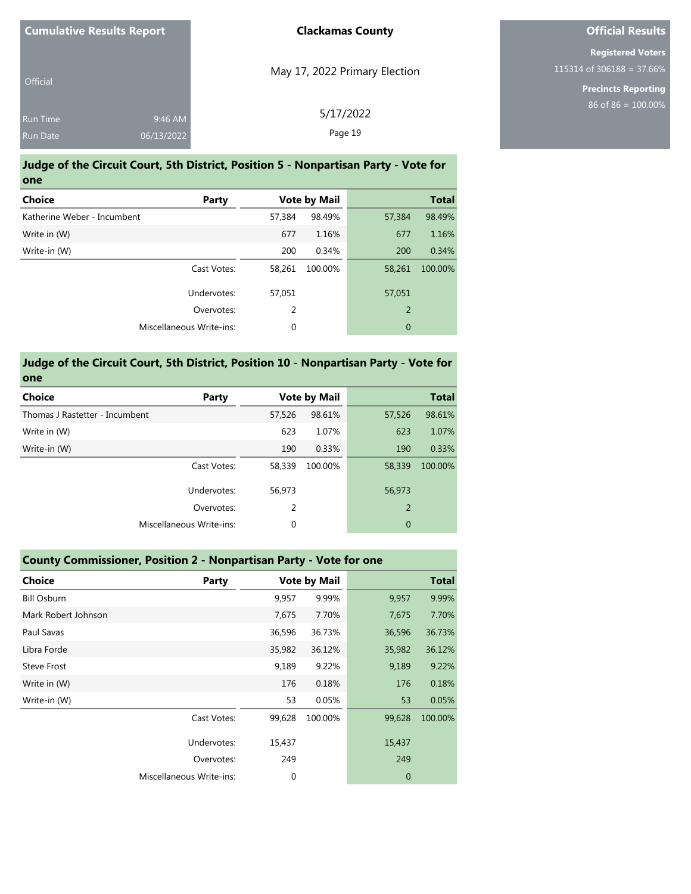| <b>Cumulative Results Report</b>   |                       | <b>Clackamas County</b>       |
|------------------------------------|-----------------------|-------------------------------|
| <b>Official</b>                    |                       | May 17, 2022 Primary Election |
| <b>Run Time</b><br><b>Run Date</b> | 9:46 AM<br>06/13/2022 | 5/17/2022<br>Page 19          |

#### **Judge of the Circuit Court, 5th District, Position 5 - Nonpartisan Party - Vote for one**

| <b>Choice</b><br>Party      |        | <b>Vote by Mail</b> |                | <b>Total</b> |
|-----------------------------|--------|---------------------|----------------|--------------|
| Katherine Weber - Incumbent | 57,384 | 98.49%              | 57,384         | 98.49%       |
| Write in (W)                | 677    | 1.16%               | 677            | 1.16%        |
| Write-in (W)                | 200    | 0.34%               | 200            | 0.34%        |
| Cast Votes:                 | 58,261 | 100.00%             | 58,261         | 100.00%      |
| Undervotes:                 | 57.051 |                     | 57,051         |              |
| Overvotes:                  | 2      |                     | $\overline{2}$ |              |
| Miscellaneous Write-ins:    | 0      |                     | $\mathbf 0$    |              |
|                             |        |                     |                |              |

#### **Judge of the Circuit Court, 5th District, Position 10 - Nonpartisan Party - Vote for one**

| <b>Choice</b><br><b>Party</b>  |        | <b>Vote by Mail</b> |                | <b>Total</b> |
|--------------------------------|--------|---------------------|----------------|--------------|
| Thomas J Rastetter - Incumbent | 57,526 | 98.61%              | 57,526         | 98.61%       |
| Write in (W)                   | 623    | 1.07%               | 623            | 1.07%        |
| Write-in (W)                   | 190    | 0.33%               | 190            | 0.33%        |
| Cast Votes:                    | 58,339 | 100.00%             | 58,339         | 100.00%      |
| Undervotes:                    | 56,973 |                     | 56,973         |              |
| Overvotes:                     | 2      |                     | $\overline{2}$ |              |
| Miscellaneous Write-ins:       | 0      |                     | $\mathbf 0$    |              |
|                                |        |                     |                |              |

# **County Commissioner, Position 2 - Nonpartisan Party - Vote for one Choice Party Vote by Mail Total** Bill Osburn 9,957 9.99% 9,957 9.99% Mark Robert Johnson 7,675 7.70% 7,675 7.70% Paul Savas 36,596 36.73% 36,596 36.73% Libra Forde 35,982 36.12% 35,982 36.12% Steve Frost 9,189 9.22% 9,189 9.22% Write in (W) 176 0.18% 176 0.18%

| Write in (W) |                          | 176    | 0.18%   | 176    | 0.18%   |
|--------------|--------------------------|--------|---------|--------|---------|
| Write-in (W) |                          | 53     | 0.05%   | 53     | 0.05%   |
|              | Cast Votes:              | 99.628 | 100.00% | 99,628 | 100.00% |
|              | Undervotes:              | 15,437 |         | 15,437 |         |
|              | Overvotes:               | 249    |         | 249    |         |
|              | Miscellaneous Write-ins: |        |         | 0      |         |

### **Official Results**

**Registered Voters** 115314 of 306188 = 37.66%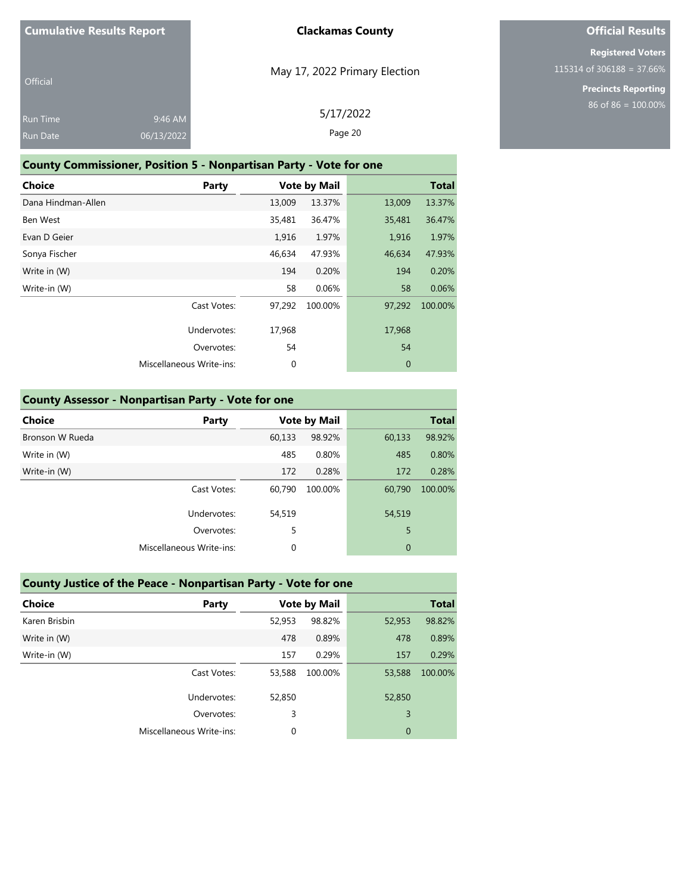| <b>Official</b> |            |  |
|-----------------|------------|--|
| <b>Run Time</b> | 9:46 AM    |  |
| <b>Run Date</b> | 06/13/2022 |  |

May 17, 2022 Primary Election

# **Official Results**

**Registered Voters** 115314 of 306188 = 37.66%

> **Precincts Reporting** 86 of 86 = 100.00%

| 5/17/2022 |  |
|-----------|--|
| Page 20   |  |

### **County Commissioner, Position 5 - Nonpartisan Party - Vote for one**

| <b>Choice</b>      | Party                           |        | <b>Vote by Mail</b> |              | <b>Total</b> |
|--------------------|---------------------------------|--------|---------------------|--------------|--------------|
| Dana Hindman-Allen |                                 | 13,009 | 13.37%              | 13,009       | 13.37%       |
| Ben West           |                                 | 35,481 | 36.47%              | 35,481       | 36.47%       |
| Evan D Geier       |                                 | 1,916  | 1.97%               | 1,916        | 1.97%        |
| Sonya Fischer      |                                 | 46,634 | 47.93%              | 46,634       | 47.93%       |
| Write in (W)       |                                 | 194    | 0.20%               | 194          | 0.20%        |
| Write-in (W)       |                                 | 58     | 0.06%               | 58           | 0.06%        |
|                    | Cast Votes:                     | 97,292 | 100.00%             | 97,292       | 100.00%      |
|                    | Undervotes:                     | 17,968 |                     | 17,968       |              |
|                    | Overvotes:                      | 54     |                     | 54           |              |
|                    | <b>Miscellaneous Write-ins:</b> | 0      |                     | $\mathbf{0}$ |              |

|  |  | County Assessor - Nonpartisan Party - Vote for one |
|--|--|----------------------------------------------------|
|--|--|----------------------------------------------------|

| <b>Choice</b>   | Party                    |        | <b>Vote by Mail</b> |              | <b>Total</b> |
|-----------------|--------------------------|--------|---------------------|--------------|--------------|
| Bronson W Rueda |                          | 60,133 | 98.92%              | 60,133       | 98.92%       |
| Write in (W)    |                          | 485    | 0.80%               | 485          | 0.80%        |
| Write-in (W)    |                          | 172    | 0.28%               | 172          | 0.28%        |
|                 | Cast Votes:              | 60,790 | 100.00%             | 60,790       | 100.00%      |
|                 | Undervotes:              | 54,519 |                     | 54,519       |              |
|                 | Overvotes:               | 5      |                     | 5            |              |
|                 | Miscellaneous Write-ins: | 0      |                     | $\mathbf{0}$ |              |
|                 |                          |        |                     |              |              |

| County Justice of the Peace - Nonpartisan Party - Vote for one |                          |        |                     |              |              |
|----------------------------------------------------------------|--------------------------|--------|---------------------|--------------|--------------|
| <b>Choice</b>                                                  | Party                    |        | <b>Vote by Mail</b> |              | <b>Total</b> |
| Karen Brisbin                                                  |                          | 52,953 | 98.82%              | 52,953       | 98.82%       |
| Write in (W)                                                   |                          | 478    | 0.89%               | 478          | 0.89%        |
| Write-in (W)                                                   |                          | 157    | 0.29%               | 157          | 0.29%        |
|                                                                | Cast Votes:              | 53,588 | 100.00%             | 53,588       | 100.00%      |
|                                                                | Undervotes:              | 52,850 |                     | 52,850       |              |
|                                                                | Overvotes:               | 3      |                     | 3            |              |
|                                                                | Miscellaneous Write-ins: | 0      |                     | $\mathbf{0}$ |              |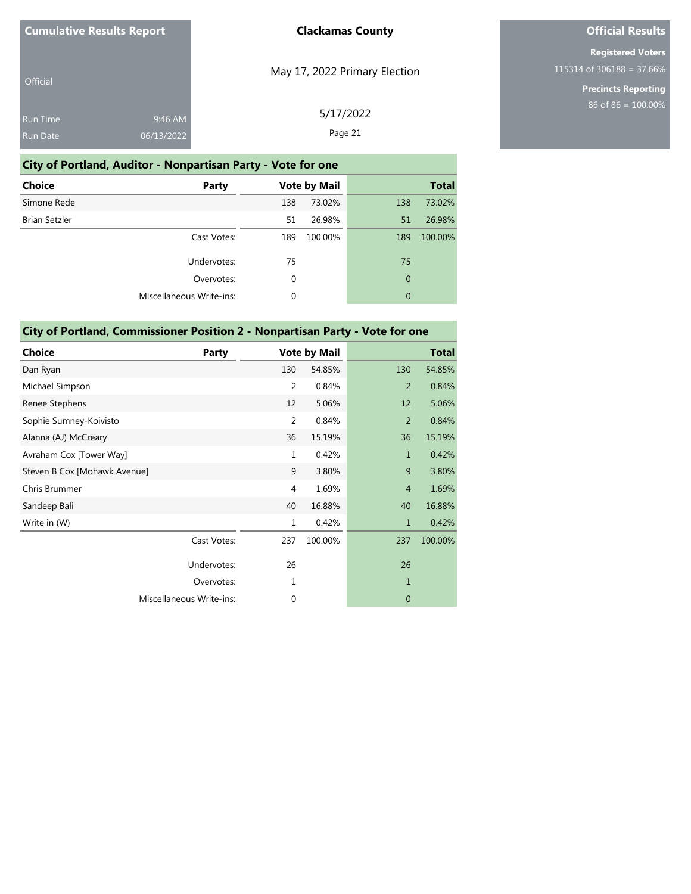| Official        |            |  |
|-----------------|------------|--|
| <b>Run Time</b> | 9:46 AM    |  |
| <b>Run Date</b> | 06/13/2022 |  |

# May 17, 2022 Primary Election

5/17/2022 Page 21

# **Official Results**

**Registered Voters** 115314 of 306188 = 37.66%

> **Precincts Reporting** 86 of 86 = 100.00%

| City of Portland, Auditor - Nonpartisan Party - Vote for one |          |                     |                |              |
|--------------------------------------------------------------|----------|---------------------|----------------|--------------|
| Choice<br><b>Party</b>                                       |          | <b>Vote by Mail</b> |                | <b>Total</b> |
| Simone Rede                                                  | 138      | 73.02%              | 138            | 73.02%       |
| <b>Brian Setzler</b>                                         | 51       | 26.98%              | 51             | 26.98%       |
| Cast Votes:                                                  | 189      | 100.00%             | 189            | 100.00%      |
| Undervotes:                                                  | 75       |                     | 75             |              |
| Overvotes:                                                   | $\Omega$ |                     | $\overline{0}$ |              |
| Miscellaneous Write-ins:                                     | 0        |                     | $\overline{0}$ |              |
|                                                              |          |                     |                |              |

### **City of Portland, Commissioner Position 2 - Nonpartisan Party - Vote for one**

| <b>Choice</b>                | Party       |                | <b>Vote by Mail</b> |                | <b>Total</b> |
|------------------------------|-------------|----------------|---------------------|----------------|--------------|
| Dan Ryan                     |             | 130            | 54.85%              | 130            | 54.85%       |
| Michael Simpson              |             | $\overline{2}$ | 0.84%               | 2              | 0.84%        |
| Renee Stephens               |             | 12             | 5.06%               | 12             | 5.06%        |
| Sophie Sumney-Koivisto       |             | 2              | 0.84%               | $\overline{2}$ | 0.84%        |
| Alanna (AJ) McCreary         |             | 36             | 15.19%              | 36             | 15.19%       |
| Avraham Cox [Tower Way]      |             | $\mathbf{1}$   | 0.42%               | $\mathbf{1}$   | 0.42%        |
| Steven B Cox [Mohawk Avenue] |             | 9              | 3.80%               | 9              | 3.80%        |
| Chris Brummer                |             | 4              | 1.69%               | $\overline{4}$ | 1.69%        |
| Sandeep Bali                 |             | 40             | 16.88%              | 40             | 16.88%       |
| Write in (W)                 |             | $\mathbf{1}$   | 0.42%               | 1              | 0.42%        |
|                              | Cast Votes: | 237            | 100.00%             | 237            | 100.00%      |
|                              | Undervotes: | 26             |                     | 26             |              |
|                              | Overvotes:  | 1              |                     | $\mathbf{1}$   |              |
| Miscellaneous Write-ins:     |             | 0              |                     | $\mathbf{0}$   |              |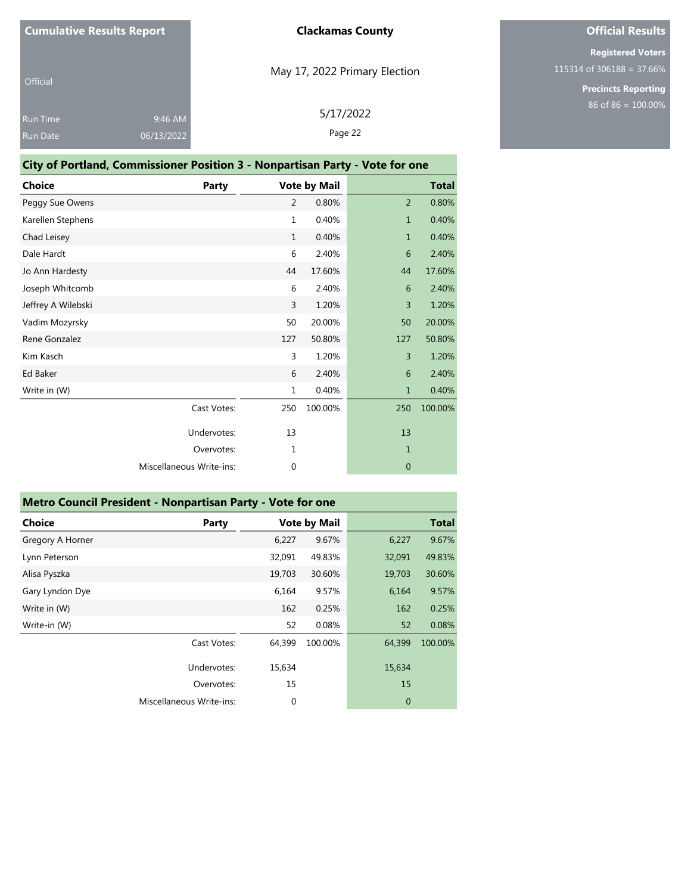| Official        |            |  |
|-----------------|------------|--|
| <b>Run Time</b> | 9:46 AM    |  |
| <b>Run Date</b> | 06/13/2022 |  |

# May 17, 2022 Primary Election

5/17/2022 Page 22

# **Official Results**

**Registered Voters** 115314 of 306188 = 37.66%

|                    | <b>City of Portland, Commissioner Position 3 - Nonpartisan Party - Vote for one</b> |                |                     |              |              |
|--------------------|-------------------------------------------------------------------------------------|----------------|---------------------|--------------|--------------|
| <b>Choice</b>      | <b>Party</b>                                                                        |                | <b>Vote by Mail</b> |              | <b>Total</b> |
| Peggy Sue Owens    |                                                                                     | 2              | 0.80%               | 2            | 0.80%        |
| Karellen Stephens  |                                                                                     | $\mathbf{1}$   | 0.40%               | $\mathbf{1}$ | 0.40%        |
| Chad Leisey        |                                                                                     | $\mathbf{1}$   | 0.40%               | $\mathbf{1}$ | 0.40%        |
| Dale Hardt         |                                                                                     | 6              | 2.40%               | 6            | 2.40%        |
| Jo Ann Hardesty    |                                                                                     | 44             | 17.60%              | 44           | 17.60%       |
| Joseph Whitcomb    |                                                                                     | 6              | 2.40%               | 6            | 2.40%        |
| Jeffrey A Wilebski |                                                                                     | $\overline{3}$ | 1.20%               | 3            | 1.20%        |
| Vadim Mozyrsky     |                                                                                     | 50             | 20.00%              | 50           | 20.00%       |
| Rene Gonzalez      |                                                                                     | 127            | 50.80%              | 127          | 50.80%       |
| Kim Kasch          |                                                                                     | 3              | 1.20%               | 3            | 1.20%        |
| Ed Baker           |                                                                                     | 6              | 2.40%               | 6            | 2.40%        |
| Write in (W)       |                                                                                     | $\mathbf{1}$   | 0.40%               | $\mathbf{1}$ | 0.40%        |
|                    | Cast Votes:                                                                         | 250            | 100.00%             | 250          | 100.00%      |
|                    | Undervotes:                                                                         | 13             |                     | 13           |              |
|                    | Overvotes:                                                                          | 1              |                     | $\mathbf{1}$ |              |
|                    | <b>Miscellaneous Write-ins:</b>                                                     | $\mathbf 0$    |                     | $\mathbf{0}$ |              |

| Metro Council President - Nonpartisan Party - Vote for one |                          |        |                     |             |              |
|------------------------------------------------------------|--------------------------|--------|---------------------|-------------|--------------|
| <b>Choice</b>                                              | Party                    |        | <b>Vote by Mail</b> |             | <b>Total</b> |
| Gregory A Horner                                           |                          | 6,227  | 9.67%               | 6,227       | 9.67%        |
| Lynn Peterson                                              |                          | 32,091 | 49.83%              | 32,091      | 49.83%       |
| Alisa Pyszka                                               |                          | 19,703 | 30.60%              | 19,703      | 30.60%       |
| Gary Lyndon Dye                                            |                          | 6,164  | 9.57%               | 6,164       | 9.57%        |
| Write in (W)                                               |                          | 162    | 0.25%               | 162         | 0.25%        |
| Write-in (W)                                               |                          | 52     | 0.08%               | 52          | 0.08%        |
|                                                            | Cast Votes:              | 64,399 | 100.00%             | 64,399      | 100.00%      |
|                                                            | Undervotes:              | 15,634 |                     | 15,634      |              |
|                                                            | Overvotes:               | 15     |                     | 15          |              |
|                                                            | Miscellaneous Write-ins: | 0      |                     | $\mathbf 0$ |              |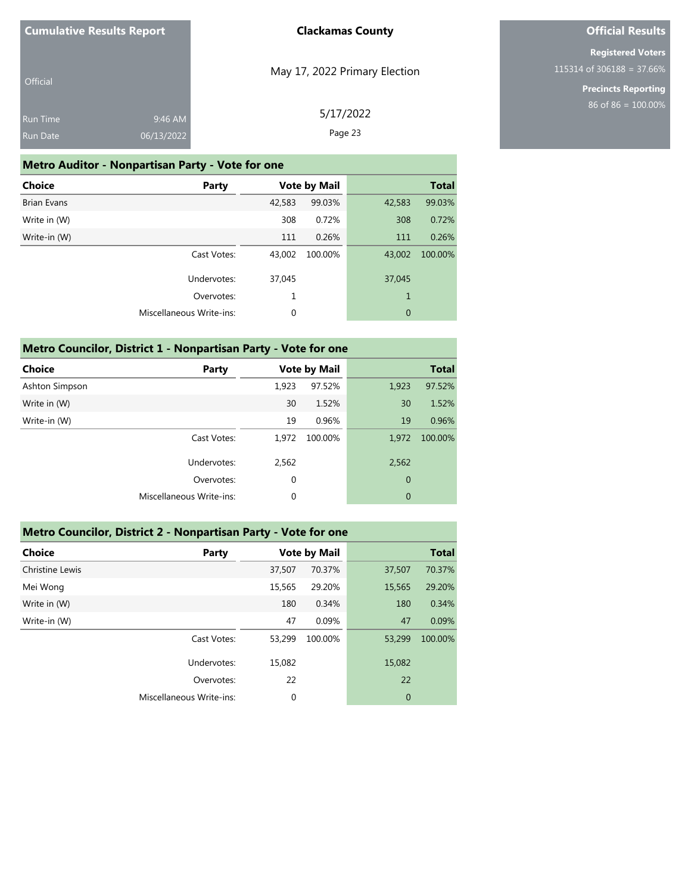| <b>Cumulative Results Report</b> |  |
|----------------------------------|--|
|                                  |  |

# **Official Results**

**Registered Voters** 115314 of 306188 = 37.66%

> **Precincts Reporting** 86 of 86 = 100.00%

| Official        |            | May 17, 2022 Primary Election |
|-----------------|------------|-------------------------------|
| <b>Run Time</b> | 9:46 AM    | 5/17/2022                     |
| <b>Run Date</b> | 06/13/2022 | Page 23                       |

### **Metro Auditor - Nonpartisan Party - Vote for one**

| <b>Choice</b><br>Party   |             | <b>Vote by Mail</b> |             | <b>Total</b> |
|--------------------------|-------------|---------------------|-------------|--------------|
| <b>Brian Evans</b>       | 42,583      | 99.03%              | 42,583      | 99.03%       |
| Write in (W)             | 308         | 0.72%               | 308         | 0.72%        |
| Write-in (W)             | 111         | 0.26%               | 111         | 0.26%        |
| Cast Votes:              | 43,002      | 100.00%             | 43,002      | 100.00%      |
| Undervotes:              | 37,045      |                     | 37,045      |              |
| Overvotes:               | 1           |                     | 1           |              |
| Miscellaneous Write-ins: | $\mathbf 0$ |                     | $\mathbf 0$ |              |

| Metro Councilor, District 1 - Nonpartisan Party - Vote for one |                          |       |                     |                |              |  |  |
|----------------------------------------------------------------|--------------------------|-------|---------------------|----------------|--------------|--|--|
| <b>Choice</b>                                                  | Party                    |       | <b>Vote by Mail</b> |                | <b>Total</b> |  |  |
| Ashton Simpson                                                 |                          | 1.923 | 97.52%              | 1,923          | 97.52%       |  |  |
| Write in (W)                                                   |                          | 30    | 1.52%               | 30             | 1.52%        |  |  |
| Write-in (W)                                                   |                          | 19    | 0.96%               | 19             | 0.96%        |  |  |
|                                                                | Cast Votes:              | 1.972 | 100.00%             | 1.972          | 100.00%      |  |  |
|                                                                | Undervotes:              | 2,562 |                     | 2,562          |              |  |  |
|                                                                | Overvotes:               | 0     |                     | $\overline{0}$ |              |  |  |
|                                                                | Miscellaneous Write-ins: | 0     |                     | $\mathbf{0}$   |              |  |  |

### **Metro Councilor, District 2 - Nonpartisan Party - Vote for one**

| <b>Choice</b>   | Party                    | <b>Vote by Mail</b> |         |             | <b>Total</b> |
|-----------------|--------------------------|---------------------|---------|-------------|--------------|
| Christine Lewis |                          | 37,507              | 70.37%  | 37,507      | 70.37%       |
| Mei Wong        |                          | 15,565              | 29.20%  | 15,565      | 29.20%       |
| Write in (W)    |                          | 180                 | 0.34%   | 180         | 0.34%        |
| Write-in (W)    |                          | 47                  | 0.09%   | 47          | 0.09%        |
|                 | Cast Votes:              | 53.299              | 100.00% | 53,299      | 100.00%      |
|                 | Undervotes:              | 15.082              |         | 15,082      |              |
|                 | Overvotes:               | 22                  |         | 22          |              |
|                 | Miscellaneous Write-ins: | $\mathbf 0$         |         | $\mathbf 0$ |              |
|                 |                          |                     |         |             |              |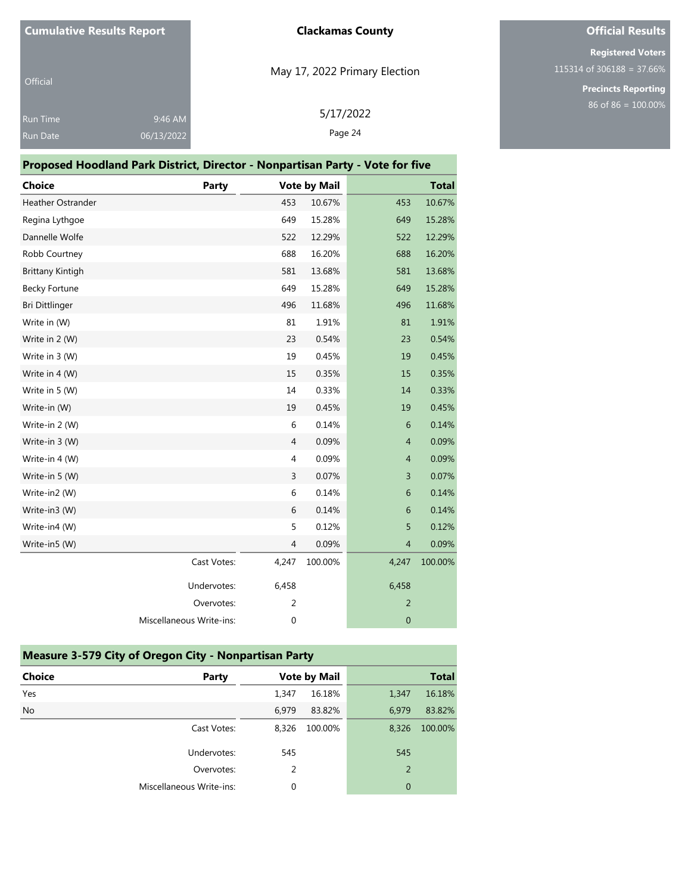|  | <b>Cumulative Results Report</b> |
|--|----------------------------------|
|--|----------------------------------|

| <b>Official</b> |            |
|-----------------|------------|
| <b>Run Time</b> | 9:46 AM    |
| <b>Run Date</b> | 06/13/2022 |

# May 17, 2022 Primary Election

# **Official Results**

**Registered Voters** 115314 of 306188 = 37.66%

> **Precincts Reporting** 86 of 86 = 100.00%

| /17/2022 |
|----------|
|          |

Page 24

| Proposed Hoodland Park District, Director - Nonpartisan Party - Vote for five |  |
|-------------------------------------------------------------------------------|--|
|-------------------------------------------------------------------------------|--|

| <b>Choice</b>           | Party                    |                | <b>Vote by Mail</b> |                | <b>Total</b> |
|-------------------------|--------------------------|----------------|---------------------|----------------|--------------|
| Heather Ostrander       |                          | 453            | 10.67%              | 453            | 10.67%       |
| Regina Lythgoe          |                          | 649            | 15.28%              | 649            | 15.28%       |
| Dannelle Wolfe          |                          | 522            | 12.29%              | 522            | 12.29%       |
| Robb Courtney           |                          | 688            | 16.20%              | 688            | 16.20%       |
| <b>Brittany Kintigh</b> |                          | 581            | 13.68%              | 581            | 13.68%       |
| <b>Becky Fortune</b>    |                          | 649            | 15.28%              | 649            | 15.28%       |
| Bri Dittlinger          |                          | 496            | 11.68%              | 496            | 11.68%       |
| Write in (W)            |                          | 81             | 1.91%               | 81             | 1.91%        |
| Write in 2 (W)          |                          | 23             | 0.54%               | 23             | 0.54%        |
| Write in 3 (W)          |                          | 19             | 0.45%               | 19             | 0.45%        |
| Write in 4 (W)          |                          | 15             | 0.35%               | 15             | 0.35%        |
| Write in 5 (W)          |                          | 14             | 0.33%               | 14             | 0.33%        |
| Write-in (W)            |                          | 19             | 0.45%               | 19             | 0.45%        |
| Write-in 2 (W)          |                          | $\,6\,$        | 0.14%               | 6              | 0.14%        |
| Write-in 3 (W)          |                          | $\overline{4}$ | 0.09%               | $\overline{4}$ | 0.09%        |
| Write-in 4 (W)          |                          | $\overline{4}$ | 0.09%               | $\overline{4}$ | 0.09%        |
| Write-in 5 (W)          |                          | 3              | 0.07%               | 3              | 0.07%        |
| Write-in2 (W)           |                          | 6              | 0.14%               | 6              | 0.14%        |
| Write-in3 (W)           |                          | 6              | 0.14%               | 6              | 0.14%        |
| Write-in4 (W)           |                          | 5              | 0.12%               | 5              | 0.12%        |
| Write-in5 (W)           |                          | $\overline{4}$ | 0.09%               | $\overline{4}$ | 0.09%        |
|                         | Cast Votes:              | 4,247          | 100.00%             | 4,247          | 100.00%      |
|                         | Undervotes:              | 6,458          |                     | 6,458          |              |
|                         | Overvotes:               | $\overline{2}$ |                     | $\overline{2}$ |              |
|                         | Miscellaneous Write-ins: | $\mathbf 0$    |                     | $\mathbf{0}$   |              |

| <b>Measure 3-579 City of Oregon City - Nonpartisan Party</b> |       |                     |                |              |  |  |  |
|--------------------------------------------------------------|-------|---------------------|----------------|--------------|--|--|--|
| <b>Choice</b><br>Party                                       |       | <b>Vote by Mail</b> |                | <b>Total</b> |  |  |  |
| Yes                                                          | 1,347 | 16.18%              | 1,347          | 16.18%       |  |  |  |
| <b>No</b>                                                    | 6.979 | 83.82%              | 6.979          | 83.82%       |  |  |  |
| Cast Votes:                                                  | 8.326 | 100.00%             | 8,326          | 100.00%      |  |  |  |
| Undervotes:                                                  | 545   |                     | 545            |              |  |  |  |
| Overvotes:                                                   | 2     |                     | $\overline{2}$ |              |  |  |  |
| Miscellaneous Write-ins:                                     | 0     |                     | $\mathbf{0}$   |              |  |  |  |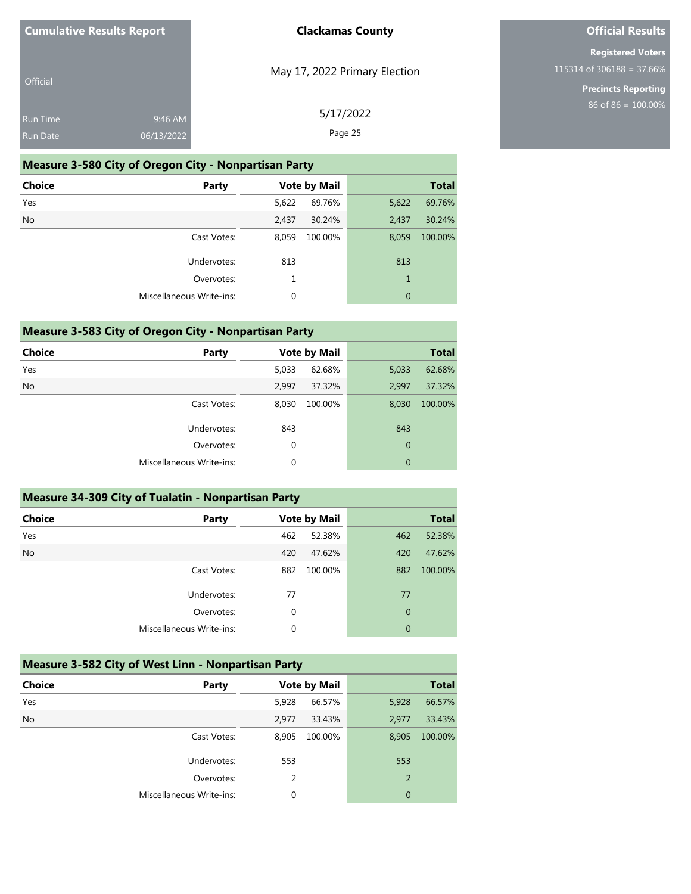| <b>Cumulative Results Report</b> |  |
|----------------------------------|--|
| Official                         |  |

May 17, 2022 Primary Election

**Clackamas County**

**Registered Voters** 115314 of 306188 = 37.66%

> **Precincts Reporting** 86 of 86 = 100.00%

**Official Results**

| ۷ | <br> |  |  |
|---|------|--|--|
|   |      |  |  |
|   |      |  |  |
|   |      |  |  |

| <b>Run Time</b><br><b>Run Date</b> | 9:46 AM<br>06/13/2022                                        | 5/17/2022<br>Page 25 |                     |       |              |  |  |
|------------------------------------|--------------------------------------------------------------|----------------------|---------------------|-------|--------------|--|--|
|                                    | <b>Measure 3-580 City of Oregon City - Nonpartisan Party</b> |                      |                     |       |              |  |  |
| <b>Choice</b>                      | Party                                                        |                      | <b>Vote by Mail</b> |       | <b>Total</b> |  |  |
| Yes                                |                                                              | 5,622                | 69.76%              | 5,622 | 69.76%       |  |  |
| <b>No</b>                          |                                                              | 2.437                | 30.24%              | 2.437 | 30.24%       |  |  |
|                                    | Cast Votes:                                                  | 8.059                | 100.00%             | 8,059 | 100.00%      |  |  |

| <b>0.</b> 000 | U,UJJ    |  |
|---------------|----------|--|
| 813           | 813      |  |
|               |          |  |
|               |          |  |
|               | 100.0070 |  |

| <b>Measure 3-583 City of Oregon City - Nonpartisan Party</b> |  |  |
|--------------------------------------------------------------|--|--|
|--------------------------------------------------------------|--|--|

| <b>Choice</b> | <b>Party</b>             | <b>Vote by Mail</b> |         |              | <b>Total</b> |
|---------------|--------------------------|---------------------|---------|--------------|--------------|
| Yes           |                          | 5,033               | 62.68%  | 5,033        | 62.68%       |
| <b>No</b>     |                          | 2,997               | 37.32%  | 2,997        | 37.32%       |
|               | Cast Votes:              | 8,030               | 100.00% | 8,030        | 100.00%      |
|               | Undervotes:              | 843                 |         | 843          |              |
|               | Overvotes:               | $\mathbf 0$         |         | $\mathbf{0}$ |              |
|               | Miscellaneous Write-ins: | 0                   |         | $\mathbf{0}$ |              |
|               |                          |                     |         |              |              |

| <b>Measure 34-309 City of Tualatin - Nonpartisan Party</b> |                                 |     |                     |                |         |
|------------------------------------------------------------|---------------------------------|-----|---------------------|----------------|---------|
| <b>Choice</b>                                              | Party                           |     | <b>Vote by Mail</b> | <b>Total</b>   |         |
| Yes                                                        |                                 | 462 | 52.38%              | 462            | 52.38%  |
| <b>No</b>                                                  |                                 | 420 | 47.62%              | 420            | 47.62%  |
|                                                            | Cast Votes:                     | 882 | 100.00%             | 882            | 100.00% |
|                                                            | Undervotes:                     | 77  |                     | 77             |         |
|                                                            | Overvotes:                      | 0   |                     | $\overline{0}$ |         |
|                                                            | <b>Miscellaneous Write-ins:</b> | 0   |                     | 0              |         |

| <b>Measure 3-582 City of West Linn - Nonpartisan Party</b> |  |  |
|------------------------------------------------------------|--|--|
|------------------------------------------------------------|--|--|

| <b>Choice</b> | <b>Party</b>                    |       | <b>Vote by Mail</b> |       | <b>Total</b> |
|---------------|---------------------------------|-------|---------------------|-------|--------------|
| Yes           |                                 | 5,928 | 66.57%              | 5,928 | 66.57%       |
| <b>No</b>     |                                 | 2,977 | 33.43%              | 2,977 | 33.43%       |
|               | Cast Votes:                     | 8,905 | 100.00%             | 8,905 | 100.00%      |
|               | Undervotes:                     | 553   |                     | 553   |              |
|               | Overvotes:                      | 2     |                     | 2     |              |
|               | <b>Miscellaneous Write-ins:</b> | 0     |                     | 0     |              |